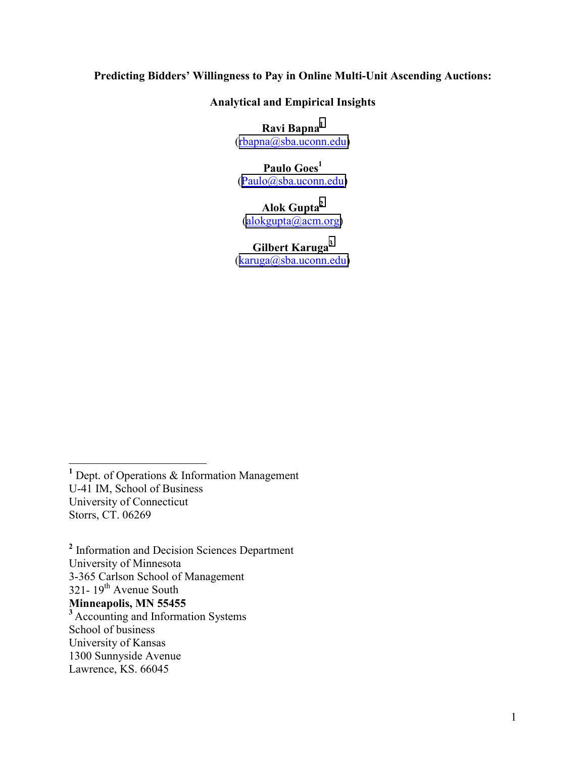# **Predicting Bidders' Willingness to Pay in Online Multi-Unit Ascending Auctions:**

**Analytical and Empirical Insights** 

**Ravi Bapna1** ([rbapna@sba.uconn.edu\)](mailto:rbapna@sba.uconn.edu)

**Paulo Goes<sup>1</sup>** ([Paulo@sba.uconn.edu\)](mailto:Paulo@sba.uconn.edu)

**Alok Gupta<sup>2</sup>**  $(alokgupta@acm.org)$ 

**Gilbert Karuga<sup>3</sup>** ([karuga@sba.uconn.edu](mailto:aruga@sba.uconn.edu)**)**

 $\overline{a}$ **<sup>1</sup>** Dept. of Operations & Information Management U-41 IM, School of Business University of Connecticut Storrs, CT. 06269

<sup>2</sup> Information and Decision Sciences Department University of Minnesota 3-365 Carlson School of Management  $321 - 19$ <sup>th</sup> Avenue South **Minneapolis, MN 55455**  <sup>3</sup> Accounting and Information Systems School of business University of Kansas 1300 Sunnyside Avenue Lawrence, KS. 66045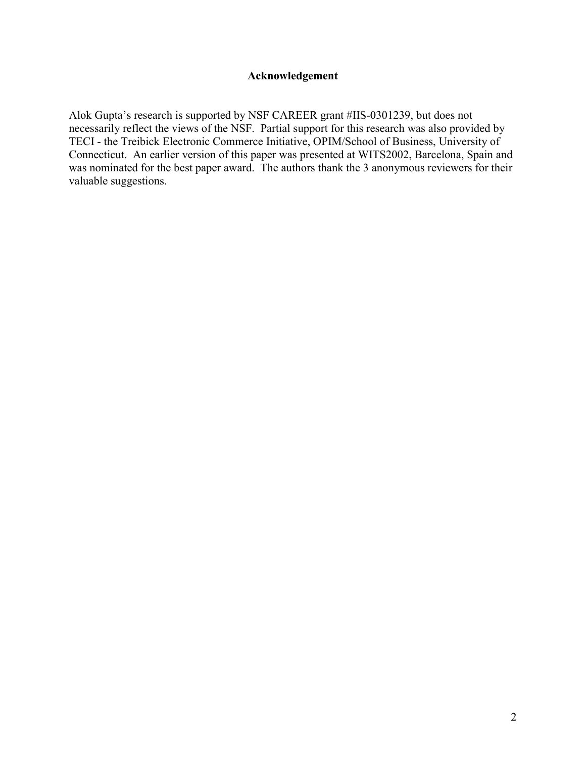# **Acknowledgement**

Alok Gupta's research is supported by NSF CAREER grant #IIS-0301239, but does not necessarily reflect the views of the NSF. Partial support for this research was also provided by TECI - the Treibick Electronic Commerce Initiative, OPIM/School of Business, University of Connecticut. An earlier version of this paper was presented at WITS2002, Barcelona, Spain and was nominated for the best paper award. The authors thank the 3 anonymous reviewers for their valuable suggestions.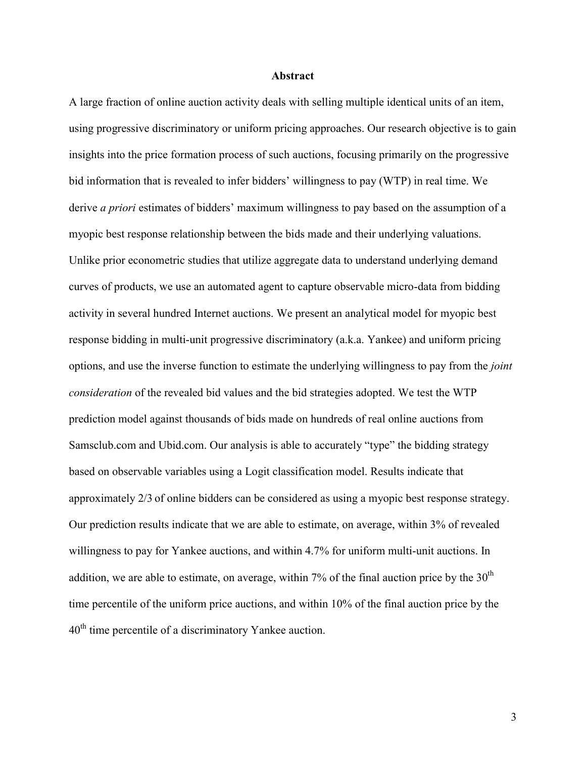#### **Abstract**

A large fraction of online auction activity deals with selling multiple identical units of an item, using progressive discriminatory or uniform pricing approaches. Our research objective is to gain insights into the price formation process of such auctions, focusing primarily on the progressive bid information that is revealed to infer bidders' willingness to pay (WTP) in real time. We derive *a priori* estimates of bidders' maximum willingness to pay based on the assumption of a myopic best response relationship between the bids made and their underlying valuations. Unlike prior econometric studies that utilize aggregate data to understand underlying demand curves of products, we use an automated agent to capture observable micro-data from bidding activity in several hundred Internet auctions. We present an analytical model for myopic best response bidding in multi-unit progressive discriminatory (a.k.a. Yankee) and uniform pricing options, and use the inverse function to estimate the underlying willingness to pay from the *joint consideration* of the revealed bid values and the bid strategies adopted. We test the WTP prediction model against thousands of bids made on hundreds of real online auctions from Samsclub.com and Ubid.com. Our analysis is able to accurately "type" the bidding strategy based on observable variables using a Logit classification model. Results indicate that approximately 2/3 of online bidders can be considered as using a myopic best response strategy. Our prediction results indicate that we are able to estimate, on average, within 3% of revealed willingness to pay for Yankee auctions, and within 4.7% for uniform multi-unit auctions. In addition, we are able to estimate, on average, within 7% of the final auction price by the  $30<sup>th</sup>$ time percentile of the uniform price auctions, and within 10% of the final auction price by the 40th time percentile of a discriminatory Yankee auction.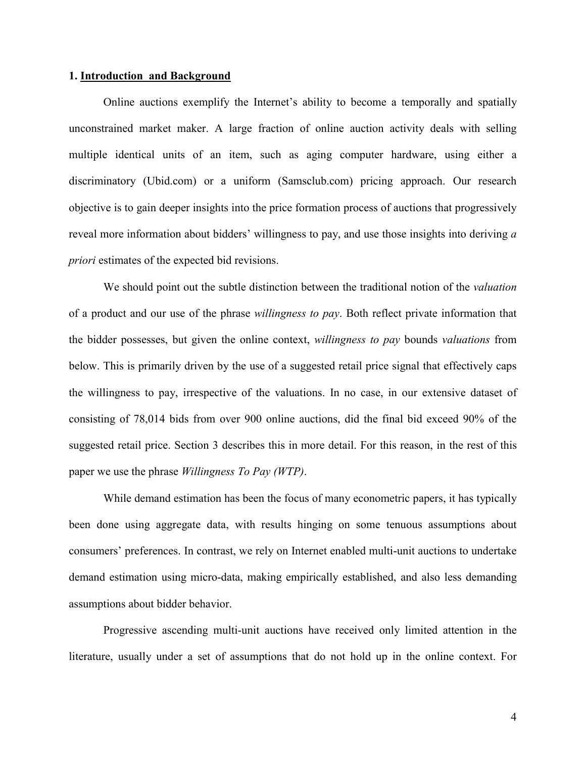#### **1. Introduction and Background**

Online auctions exemplify the Internet's ability to become a temporally and spatially unconstrained market maker. A large fraction of online auction activity deals with selling multiple identical units of an item, such as aging computer hardware, using either a discriminatory (Ubid.com) or a uniform (Samsclub.com) pricing approach. Our research objective is to gain deeper insights into the price formation process of auctions that progressively reveal more information about bidders' willingness to pay, and use those insights into deriving *a priori* estimates of the expected bid revisions.

We should point out the subtle distinction between the traditional notion of the *valuation* of a product and our use of the phrase *willingness to pay*. Both reflect private information that the bidder possesses, but given the online context, *willingness to pay* bounds *valuations* from below. This is primarily driven by the use of a suggested retail price signal that effectively caps the willingness to pay, irrespective of the valuations. In no case, in our extensive dataset of consisting of 78,014 bids from over 900 online auctions, did the final bid exceed 90% of the suggested retail price. Section 3 describes this in more detail. For this reason, in the rest of this paper we use the phrase *Willingness To Pay (WTP)*.

While demand estimation has been the focus of many econometric papers, it has typically been done using aggregate data, with results hinging on some tenuous assumptions about consumers' preferences. In contrast, we rely on Internet enabled multi-unit auctions to undertake demand estimation using micro-data, making empirically established, and also less demanding assumptions about bidder behavior.

Progressive ascending multi-unit auctions have received only limited attention in the literature, usually under a set of assumptions that do not hold up in the online context. For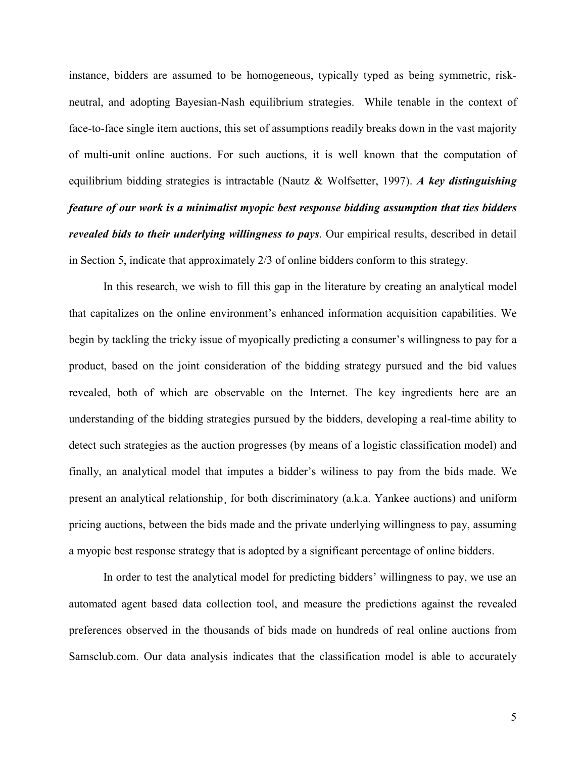instance, bidders are assumed to be homogeneous, typically typed as being symmetric, riskneutral, and adopting Bayesian-Nash equilibrium strategies. While tenable in the context of face-to-face single item auctions, this set of assumptions readily breaks down in the vast majority of multi-unit online auctions. For such auctions, it is well known that the computation of equilibrium bidding strategies is intractable (Nautz & Wolfsetter, 1997). *A key distinguishing feature of our work is a minimalist myopic best response bidding assumption that ties bidders revealed bids to their underlying willingness to pays*. Our empirical results, described in detail in Section 5, indicate that approximately 2/3 of online bidders conform to this strategy.

In this research, we wish to fill this gap in the literature by creating an analytical model that capitalizes on the online environment's enhanced information acquisition capabilities. We begin by tackling the tricky issue of myopically predicting a consumer's willingness to pay for a product, based on the joint consideration of the bidding strategy pursued and the bid values revealed, both of which are observable on the Internet. The key ingredients here are an understanding of the bidding strategies pursued by the bidders, developing a real-time ability to detect such strategies as the auction progresses (by means of a logistic classification model) and finally, an analytical model that imputes a bidder's wiliness to pay from the bids made. We present an analytical relationship¸ for both discriminatory (a.k.a. Yankee auctions) and uniform pricing auctions, between the bids made and the private underlying willingness to pay, assuming a myopic best response strategy that is adopted by a significant percentage of online bidders.

In order to test the analytical model for predicting bidders' willingness to pay, we use an automated agent based data collection tool, and measure the predictions against the revealed preferences observed in the thousands of bids made on hundreds of real online auctions from Samsclub.com. Our data analysis indicates that the classification model is able to accurately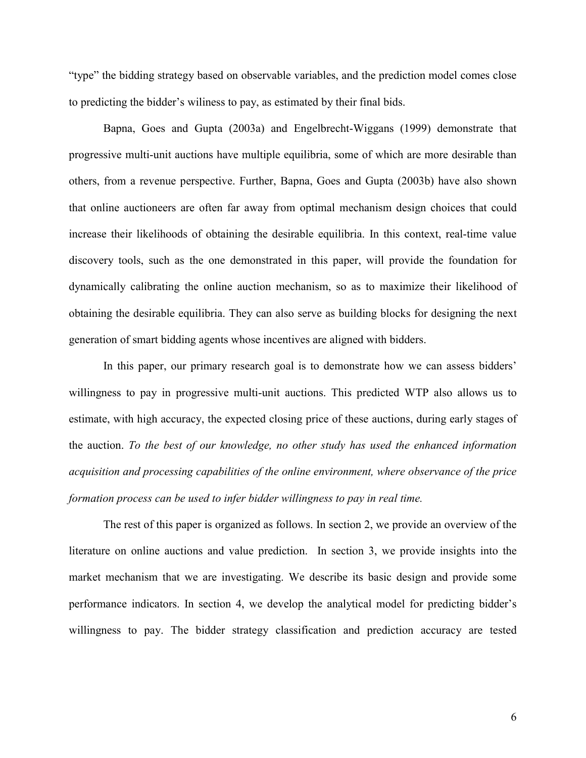"type" the bidding strategy based on observable variables, and the prediction model comes close to predicting the bidder's wiliness to pay, as estimated by their final bids.

Bapna, Goes and Gupta (2003a) and Engelbrecht-Wiggans (1999) demonstrate that progressive multi-unit auctions have multiple equilibria, some of which are more desirable than others, from a revenue perspective. Further, Bapna, Goes and Gupta (2003b) have also shown that online auctioneers are often far away from optimal mechanism design choices that could increase their likelihoods of obtaining the desirable equilibria. In this context, real-time value discovery tools, such as the one demonstrated in this paper, will provide the foundation for dynamically calibrating the online auction mechanism, so as to maximize their likelihood of obtaining the desirable equilibria. They can also serve as building blocks for designing the next generation of smart bidding agents whose incentives are aligned with bidders.

In this paper, our primary research goal is to demonstrate how we can assess bidders' willingness to pay in progressive multi-unit auctions. This predicted WTP also allows us to estimate, with high accuracy, the expected closing price of these auctions, during early stages of the auction. *To the best of our knowledge, no other study has used the enhanced information acquisition and processing capabilities of the online environment, where observance of the price formation process can be used to infer bidder willingness to pay in real time.*

The rest of this paper is organized as follows. In section 2, we provide an overview of the literature on online auctions and value prediction. In section 3, we provide insights into the market mechanism that we are investigating. We describe its basic design and provide some performance indicators. In section 4, we develop the analytical model for predicting bidder's willingness to pay. The bidder strategy classification and prediction accuracy are tested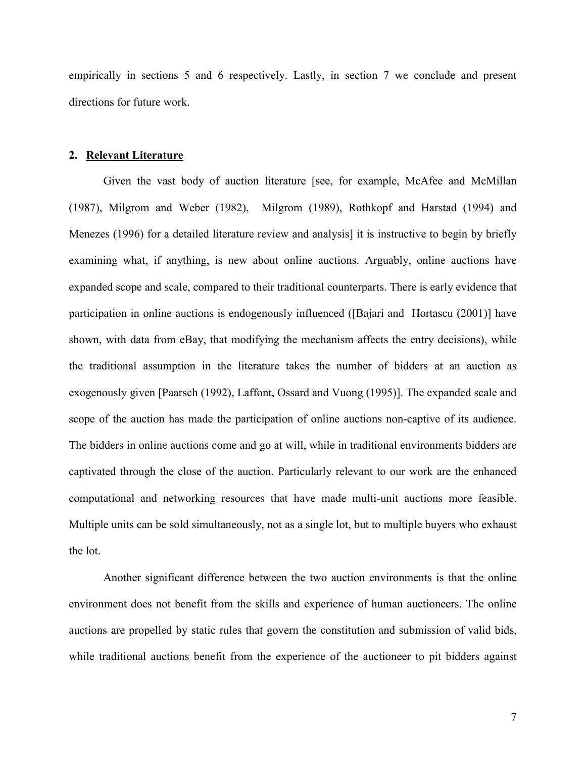empirically in sections 5 and 6 respectively. Lastly, in section 7 we conclude and present directions for future work.

#### **2. Relevant Literature**

Given the vast body of auction literature [see, for example, McAfee and McMillan (1987), Milgrom and Weber (1982), Milgrom (1989), Rothkopf and Harstad (1994) and Menezes (1996) for a detailed literature review and analysis] it is instructive to begin by briefly examining what, if anything, is new about online auctions. Arguably, online auctions have expanded scope and scale, compared to their traditional counterparts. There is early evidence that participation in online auctions is endogenously influenced ([Bajari and Hortascu (2001)] have shown, with data from eBay, that modifying the mechanism affects the entry decisions), while the traditional assumption in the literature takes the number of bidders at an auction as exogenously given [Paarsch (1992), Laffont, Ossard and Vuong (1995)]. The expanded scale and scope of the auction has made the participation of online auctions non-captive of its audience. The bidders in online auctions come and go at will, while in traditional environments bidders are captivated through the close of the auction. Particularly relevant to our work are the enhanced computational and networking resources that have made multi-unit auctions more feasible. Multiple units can be sold simultaneously, not as a single lot, but to multiple buyers who exhaust the lot.

Another significant difference between the two auction environments is that the online environment does not benefit from the skills and experience of human auctioneers. The online auctions are propelled by static rules that govern the constitution and submission of valid bids, while traditional auctions benefit from the experience of the auctioneer to pit bidders against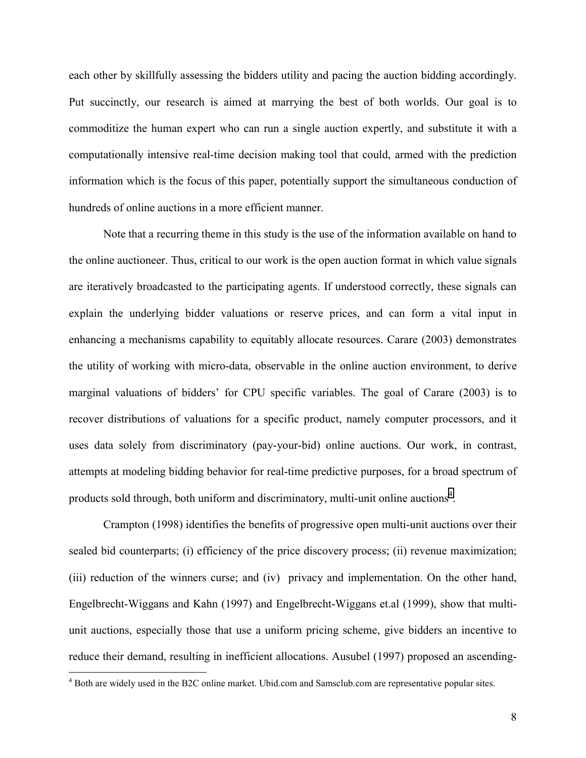each other by skillfully assessing the bidders utility and pacing the auction bidding accordingly. Put succinctly, our research is aimed at marrying the best of both worlds. Our goal is to commoditize the human expert who can run a single auction expertly, and substitute it with a computationally intensive real-time decision making tool that could, armed with the prediction information which is the focus of this paper, potentially support the simultaneous conduction of hundreds of online auctions in a more efficient manner.

Note that a recurring theme in this study is the use of the information available on hand to the online auctioneer. Thus, critical to our work is the open auction format in which value signals are iteratively broadcasted to the participating agents. If understood correctly, these signals can explain the underlying bidder valuations or reserve prices, and can form a vital input in enhancing a mechanisms capability to equitably allocate resources. Carare (2003) demonstrates the utility of working with micro-data, observable in the online auction environment, to derive marginal valuations of bidders' for CPU specific variables. The goal of Carare (2003) is to recover distributions of valuations for a specific product, namely computer processors, and it uses data solely from discriminatory (pay-your-bid) online auctions. Our work, in contrast, attempts at modeling bidding behavior for real-time predictive purposes, for a broad spectrum of products sold through, both uniform and discriminatory, multi-unit online auctions<sup>4</sup>.

Crampton (1998) identifies the benefits of progressive open multi-unit auctions over their sealed bid counterparts; (i) efficiency of the price discovery process; (ii) revenue maximization; (iii) reduction of the winners curse; and (iv) privacy and implementation. On the other hand, Engelbrecht-Wiggans and Kahn (1997) and Engelbrecht-Wiggans et.al (1999), show that multiunit auctions, especially those that use a uniform pricing scheme, give bidders an incentive to reduce their demand, resulting in inefficient allocations. Ausubel (1997) proposed an ascending-

 $\overline{a}$ 

<sup>&</sup>lt;sup>4</sup> Both are widely used in the B2C online market. Ubid.com and Samsclub.com are representative popular sites.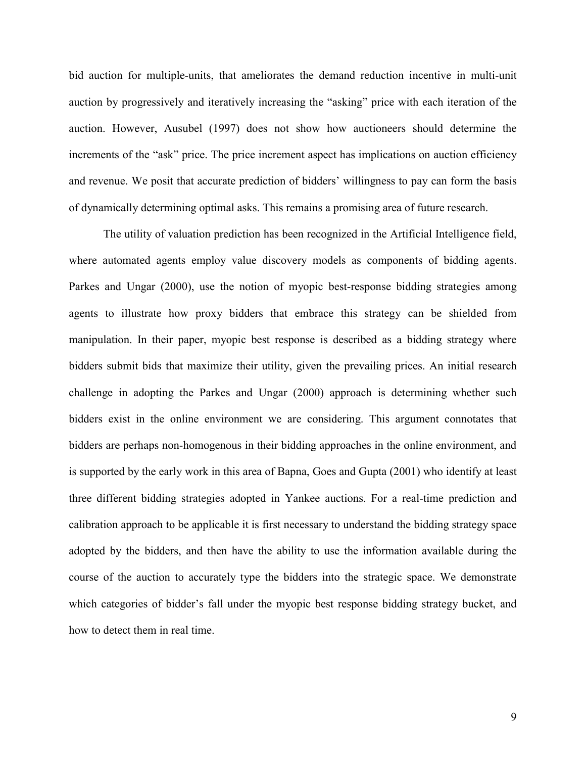bid auction for multiple-units, that ameliorates the demand reduction incentive in multi-unit auction by progressively and iteratively increasing the "asking" price with each iteration of the auction. However, Ausubel (1997) does not show how auctioneers should determine the increments of the "ask" price. The price increment aspect has implications on auction efficiency and revenue. We posit that accurate prediction of bidders' willingness to pay can form the basis of dynamically determining optimal asks. This remains a promising area of future research.

The utility of valuation prediction has been recognized in the Artificial Intelligence field, where automated agents employ value discovery models as components of bidding agents. Parkes and Ungar (2000), use the notion of myopic best-response bidding strategies among agents to illustrate how proxy bidders that embrace this strategy can be shielded from manipulation. In their paper, myopic best response is described as a bidding strategy where bidders submit bids that maximize their utility, given the prevailing prices. An initial research challenge in adopting the Parkes and Ungar (2000) approach is determining whether such bidders exist in the online environment we are considering. This argument connotates that bidders are perhaps non-homogenous in their bidding approaches in the online environment, and is supported by the early work in this area of Bapna, Goes and Gupta (2001) who identify at least three different bidding strategies adopted in Yankee auctions. For a real-time prediction and calibration approach to be applicable it is first necessary to understand the bidding strategy space adopted by the bidders, and then have the ability to use the information available during the course of the auction to accurately type the bidders into the strategic space. We demonstrate which categories of bidder's fall under the myopic best response bidding strategy bucket, and how to detect them in real time.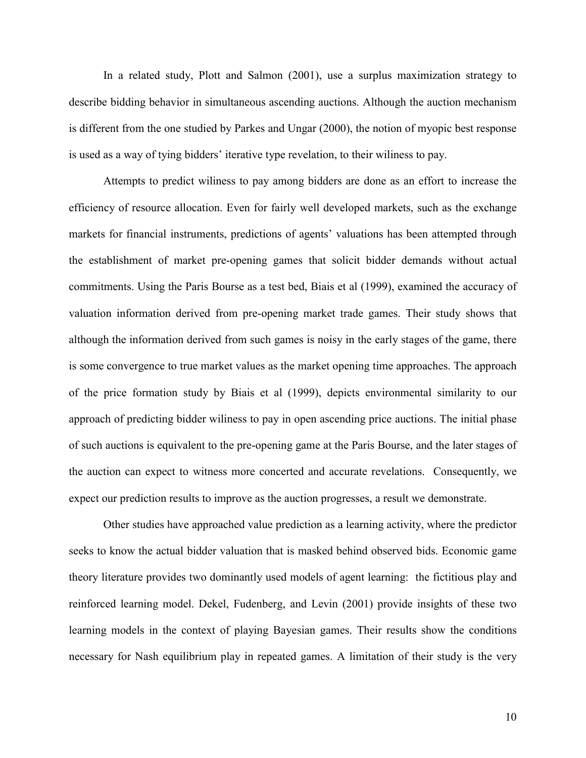In a related study, Plott and Salmon (2001), use a surplus maximization strategy to describe bidding behavior in simultaneous ascending auctions. Although the auction mechanism is different from the one studied by Parkes and Ungar (2000), the notion of myopic best response is used as a way of tying bidders' iterative type revelation, to their wiliness to pay.

Attempts to predict wiliness to pay among bidders are done as an effort to increase the efficiency of resource allocation. Even for fairly well developed markets, such as the exchange markets for financial instruments, predictions of agents' valuations has been attempted through the establishment of market pre-opening games that solicit bidder demands without actual commitments. Using the Paris Bourse as a test bed, Biais et al (1999), examined the accuracy of valuation information derived from pre-opening market trade games. Their study shows that although the information derived from such games is noisy in the early stages of the game, there is some convergence to true market values as the market opening time approaches. The approach of the price formation study by Biais et al (1999), depicts environmental similarity to our approach of predicting bidder wiliness to pay in open ascending price auctions. The initial phase of such auctions is equivalent to the pre-opening game at the Paris Bourse, and the later stages of the auction can expect to witness more concerted and accurate revelations. Consequently, we expect our prediction results to improve as the auction progresses, a result we demonstrate.

Other studies have approached value prediction as a learning activity, where the predictor seeks to know the actual bidder valuation that is masked behind observed bids. Economic game theory literature provides two dominantly used models of agent learning: the fictitious play and reinforced learning model. Dekel, Fudenberg, and Levin (2001) provide insights of these two learning models in the context of playing Bayesian games. Their results show the conditions necessary for Nash equilibrium play in repeated games. A limitation of their study is the very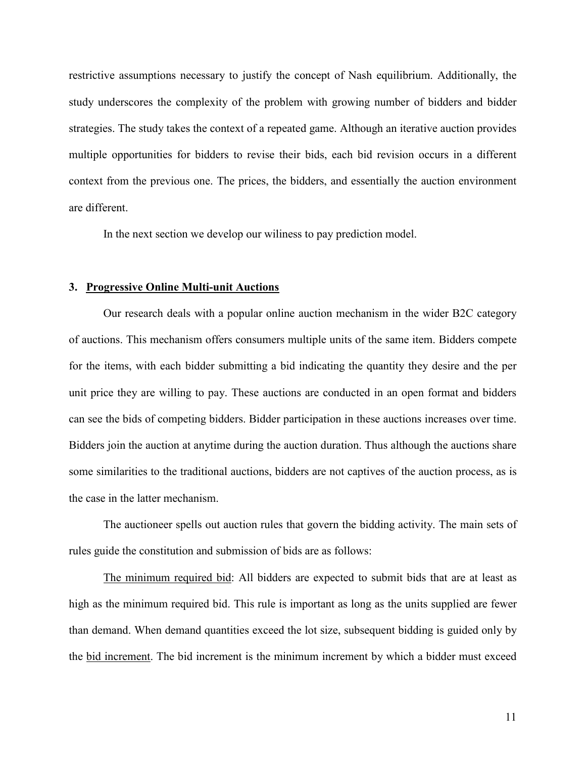restrictive assumptions necessary to justify the concept of Nash equilibrium. Additionally, the study underscores the complexity of the problem with growing number of bidders and bidder strategies. The study takes the context of a repeated game. Although an iterative auction provides multiple opportunities for bidders to revise their bids, each bid revision occurs in a different context from the previous one. The prices, the bidders, and essentially the auction environment are different.

In the next section we develop our wiliness to pay prediction model.

#### **3. Progressive Online Multi-unit Auctions**

 Our research deals with a popular online auction mechanism in the wider B2C category of auctions. This mechanism offers consumers multiple units of the same item. Bidders compete for the items, with each bidder submitting a bid indicating the quantity they desire and the per unit price they are willing to pay. These auctions are conducted in an open format and bidders can see the bids of competing bidders. Bidder participation in these auctions increases over time. Bidders join the auction at anytime during the auction duration. Thus although the auctions share some similarities to the traditional auctions, bidders are not captives of the auction process, as is the case in the latter mechanism.

 The auctioneer spells out auction rules that govern the bidding activity. The main sets of rules guide the constitution and submission of bids are as follows:

 The minimum required bid: All bidders are expected to submit bids that are at least as high as the minimum required bid. This rule is important as long as the units supplied are fewer than demand. When demand quantities exceed the lot size, subsequent bidding is guided only by the bid increment. The bid increment is the minimum increment by which a bidder must exceed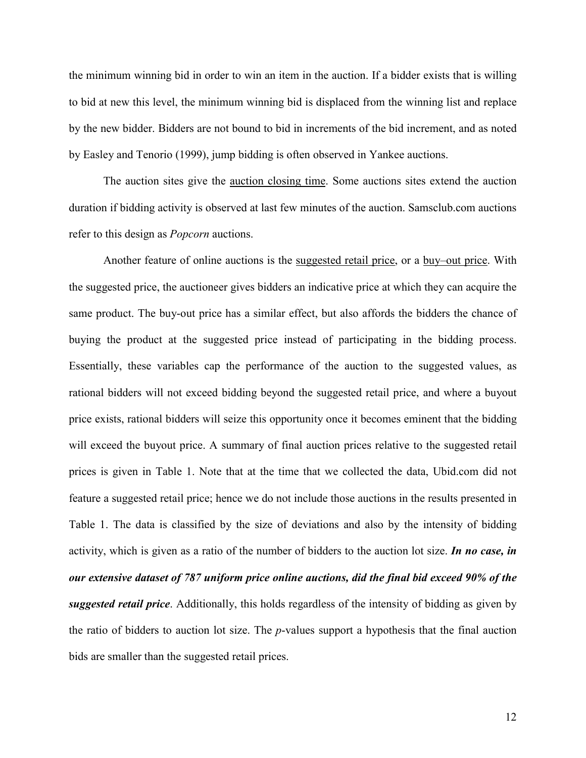the minimum winning bid in order to win an item in the auction. If a bidder exists that is willing to bid at new this level, the minimum winning bid is displaced from the winning list and replace by the new bidder. Bidders are not bound to bid in increments of the bid increment, and as noted by Easley and Tenorio (1999), jump bidding is often observed in Yankee auctions.

The auction sites give the auction closing time. Some auctions sites extend the auction duration if bidding activity is observed at last few minutes of the auction. Samsclub.com auctions refer to this design as *Popcorn* auctions.

Another feature of online auctions is the suggested retail price, or a buy–out price. With the suggested price, the auctioneer gives bidders an indicative price at which they can acquire the same product. The buy-out price has a similar effect, but also affords the bidders the chance of buying the product at the suggested price instead of participating in the bidding process. Essentially, these variables cap the performance of the auction to the suggested values, as rational bidders will not exceed bidding beyond the suggested retail price, and where a buyout price exists, rational bidders will seize this opportunity once it becomes eminent that the bidding will exceed the buyout price. A summary of final auction prices relative to the suggested retail prices is given in Table 1. Note that at the time that we collected the data, Ubid.com did not feature a suggested retail price; hence we do not include those auctions in the results presented in Table 1. The data is classified by the size of deviations and also by the intensity of bidding activity, which is given as a ratio of the number of bidders to the auction lot size. *In no case, in our extensive dataset of 787 uniform price online auctions, did the final bid exceed 90% of the suggested retail price*. Additionally, this holds regardless of the intensity of bidding as given by the ratio of bidders to auction lot size. The *p*-values support a hypothesis that the final auction bids are smaller than the suggested retail prices.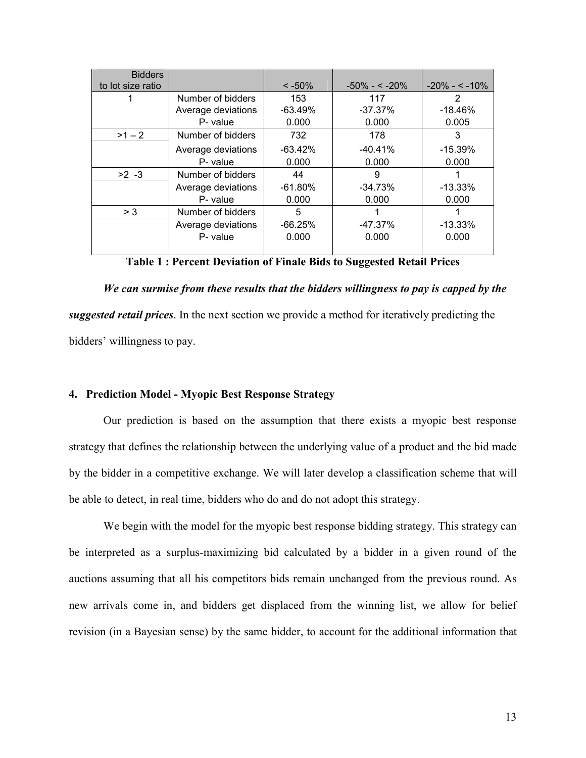| <b>Bidders</b>    |                    |            |                |                  |
|-------------------|--------------------|------------|----------------|------------------|
| to lot size ratio |                    | $< -50\%$  | $-50\% - 50\%$ | $-20\% - 5.10\%$ |
|                   | Number of bidders  | 153        | 117            | 2                |
|                   | Average deviations | $-63.49%$  | $-37.37\%$     | $-18.46%$        |
|                   | P- value           | 0.000      | 0.000          | 0.005            |
| $>1 - 2$          | Number of bidders  | 732        | 178            | 3                |
|                   | Average deviations | $-63.42\%$ | $-40.41\%$     | $-15.39\%$       |
|                   | P- value           | 0.000      | 0.000          | 0.000            |
| $>2 - 3$          | Number of bidders  | 44         | 9              |                  |
|                   | Average deviations | $-61.80%$  | $-34.73%$      | $-13.33\%$       |
|                   | P- value           | 0.000      | 0.000          | 0.000            |
| > 3               | Number of bidders  | 5          |                |                  |
|                   | Average deviations | $-66.25\%$ | $-47.37\%$     | $-13.33\%$       |
|                   | P- value           | 0.000      | 0.000          | 0.000            |
|                   |                    |            |                |                  |

**Table 1 : Percent Deviation of Finale Bids to Suggested Retail Prices** 

*We can surmise from these results that the bidders willingness to pay is capped by the suggested retail prices*. In the next section we provide a method for iteratively predicting the bidders' willingness to pay.

#### **4. Prediction Model - Myopic Best Response Strategy**

Our prediction is based on the assumption that there exists a myopic best response strategy that defines the relationship between the underlying value of a product and the bid made by the bidder in a competitive exchange. We will later develop a classification scheme that will be able to detect, in real time, bidders who do and do not adopt this strategy.

We begin with the model for the myopic best response bidding strategy. This strategy can be interpreted as a surplus-maximizing bid calculated by a bidder in a given round of the auctions assuming that all his competitors bids remain unchanged from the previous round. As new arrivals come in, and bidders get displaced from the winning list, we allow for belief revision (in a Bayesian sense) by the same bidder, to account for the additional information that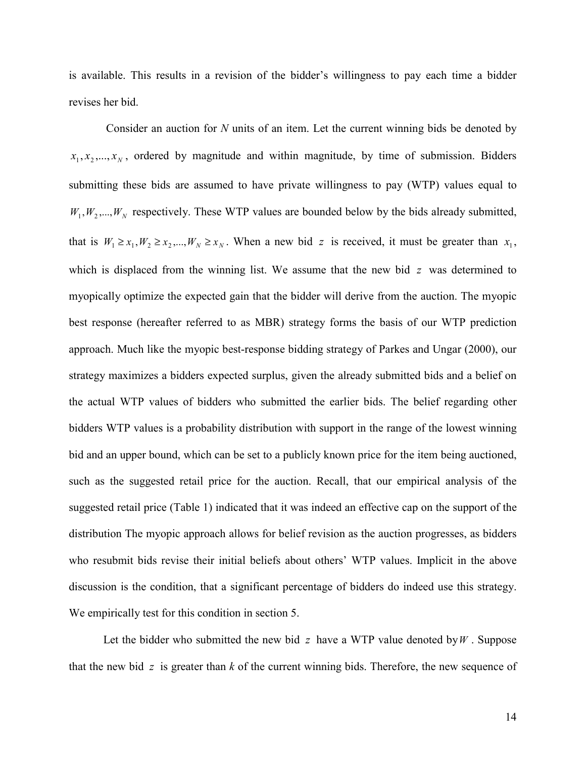is available. This results in a revision of the bidder's willingness to pay each time a bidder revises her bid.

 Consider an auction for *N* units of an item. Let the current winning bids be denoted by  $x_1, x_2, \ldots, x_N$ , ordered by magnitude and within magnitude, by time of submission. Bidders submitting these bids are assumed to have private willingness to pay (WTP) values equal to  $W_1, W_2, \ldots, W_N$  respectively. These WTP values are bounded below by the bids already submitted, that is  $W_1 \ge x_1, W_2 \ge x_2, ..., W_N \ge x_N$ . When a new bid *z* is received, it must be greater than  $x_1$ , which is displaced from the winning list. We assume that the new bid *z* was determined to myopically optimize the expected gain that the bidder will derive from the auction. The myopic best response (hereafter referred to as MBR) strategy forms the basis of our WTP prediction approach. Much like the myopic best-response bidding strategy of Parkes and Ungar (2000), our strategy maximizes a bidders expected surplus, given the already submitted bids and a belief on the actual WTP values of bidders who submitted the earlier bids. The belief regarding other bidders WTP values is a probability distribution with support in the range of the lowest winning bid and an upper bound, which can be set to a publicly known price for the item being auctioned, such as the suggested retail price for the auction. Recall, that our empirical analysis of the suggested retail price (Table 1) indicated that it was indeed an effective cap on the support of the distribution The myopic approach allows for belief revision as the auction progresses, as bidders who resubmit bids revise their initial beliefs about others' WTP values. Implicit in the above discussion is the condition, that a significant percentage of bidders do indeed use this strategy. We empirically test for this condition in section 5.

Let the bidder who submitted the new bid *z* have a WTP value denoted by*W* . Suppose that the new bid *z* is greater than *k* of the current winning bids. Therefore, the new sequence of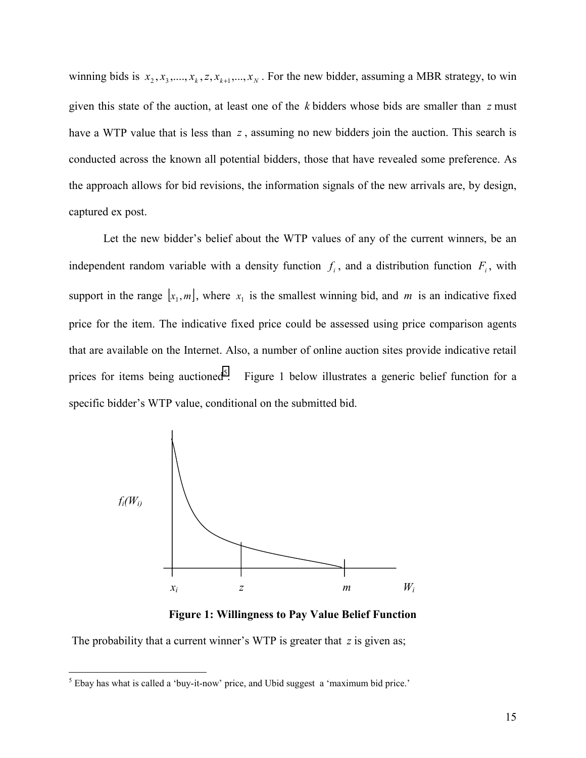winning bids is  $x_2, x_3, \ldots, x_k, z, x_{k+1}, \ldots, x_N$ . For the new bidder, assuming a MBR strategy, to win given this state of the auction, at least one of the *k* bidders whose bids are smaller than *z* must have a WTP value that is less than z, assuming no new bidders join the auction. This search is conducted across the known all potential bidders, those that have revealed some preference. As the approach allows for bid revisions, the information signals of the new arrivals are, by design, captured ex post.

 Let the new bidder's belief about the WTP values of any of the current winners, be an independent random variable with a density function  $f_i$ , and a distribution function  $F_i$ , with support in the range  $[x_1, m]$ , where  $x_1$  is the smallest winning bid, and *m* is an indicative fixed price for the item. The indicative fixed price could be assessed using price comparison agents that are available on the Internet. Also, a number of online auction sites provide indicative retail prices for items being auctioned<sup>5</sup>. Figure 1 below illustrates a generic belief function for a specific bidder's WTP value, conditional on the submitted bid.



**Figure 1: Willingness to Pay Value Belief Function** 

The probability that a current winner's WTP is greater that *z* is given as;

 $\overline{a}$ 

 $<sup>5</sup>$  Ebay has what is called a 'buy-it-now' price, and Ubid suggest a 'maximum bid price.'</sup>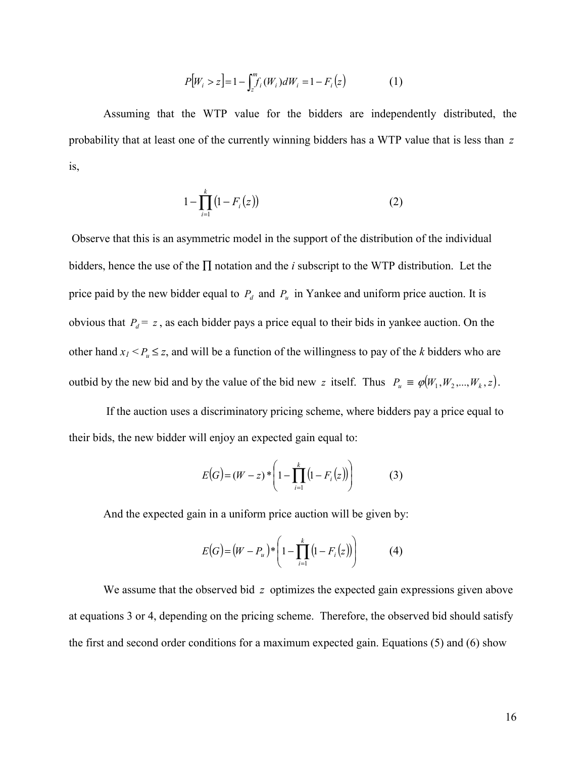$$
P[W_i > z] = 1 - \int_{z}^{m} f_i(W_i) dW_i = 1 - F_i(z)
$$
 (1)

Assuming that the WTP value for the bidders are independently distributed, the probability that at least one of the currently winning bidders has a WTP value that is less than *z* is,

$$
1 - \prod_{i=1}^{k} (1 - F_i(z))
$$
 (2)

 Observe that this is an asymmetric model in the support of the distribution of the individual bidders, hence the use of the ∏ notation and the *i* subscript to the WTP distribution. Let the price paid by the new bidder equal to  $P_d$  and  $P_u$  in Yankee and uniform price auction. It is obvious that  $P_d = z$ , as each bidder pays a price equal to their bids in yankee auction. On the other hand  $x_1 < P_u \leq z$ , and will be a function of the willingness to pay of the *k* bidders who are outbid by the new bid and by the value of the bid new *z* itself. Thus  $P_u \equiv \varphi(W_1, W_2, ..., W_k, z)$ .

 If the auction uses a discriminatory pricing scheme, where bidders pay a price equal to their bids, the new bidder will enjoy an expected gain equal to:

$$
E(G) = (W - z) * \left(1 - \prod_{i=1}^{k} (1 - F_i(z))\right)
$$
 (3)

And the expected gain in a uniform price auction will be given by:

$$
E(G) = (W - P_u)^{*} \left( 1 - \prod_{i=1}^{k} (1 - F_i(z)) \right)
$$
 (4)

We assume that the observed bid *z* optimizes the expected gain expressions given above at equations 3 or 4, depending on the pricing scheme. Therefore, the observed bid should satisfy the first and second order conditions for a maximum expected gain. Equations (5) and (6) show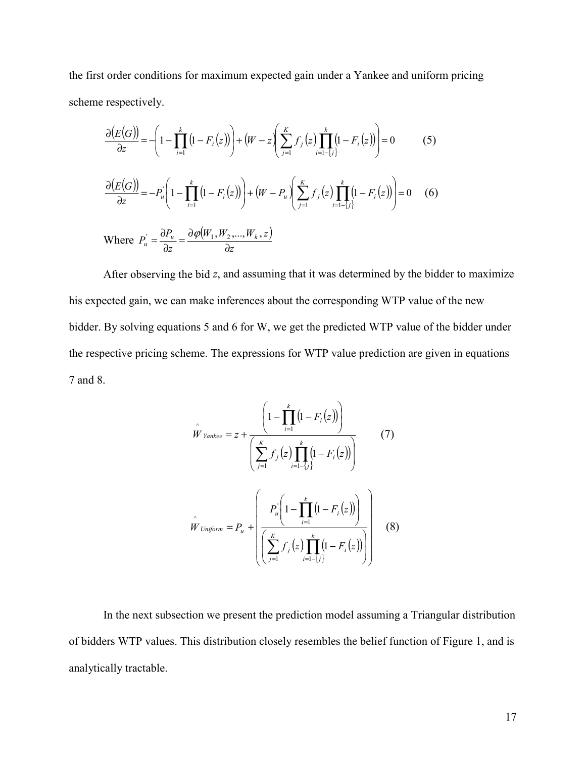the first order conditions for maximum expected gain under a Yankee and uniform pricing scheme respectively.

$$
\frac{\partial (E(G))}{\partial z} = -\left(1 - \prod_{i=1}^{k} \left(1 - F_i(z)\right)\right) + \left(W - z\left(\sum_{j=1}^{K} f_j(z)\prod_{i=1-j}^{k} \left(1 - F_i(z)\right)\right)\right) = 0 \tag{5}
$$
\n
$$
\frac{\partial (E(G))}{\partial z} = -P_u \left(1 - \prod_{i=1}^{k} \left(1 - F_i(z)\right)\right) + \left(W - P_u\left(\sum_{j=1}^{K} f_j(z)\prod_{i=1-j}^{k} \left(1 - F_i(z)\right)\right)\right) = 0 \tag{6}
$$
\n
$$
\text{Where } P_u = \frac{\partial P_u}{\partial z} = \frac{\partial \varphi(W_1, W_2, \dots, W_k, z)}{\partial z}
$$

 After observing the bid *z*, and assuming that it was determined by the bidder to maximize his expected gain, we can make inferences about the corresponding WTP value of the new bidder. By solving equations 5 and 6 for W, we get the predicted WTP value of the bidder under the respective pricing scheme. The expressions for WTP value prediction are given in equations 7 and 8.

$$
\hat{W}_{\text{Yankee}} = z + \frac{\left(1 - \prod_{i=1}^{k} (1 - F_i(z))\right)}{\left(\sum_{j=1}^{K} f_j(z) \prod_{i=1-j}^{k} (1 - F_i(z))\right)}
$$
(7)  

$$
\hat{W}_{\text{Uniform}} = P_u + \left(\frac{P_u^{\cdot} \left(1 - \prod_{i=1}^{k} (1 - F_i(z))\right)}{\left(\sum_{j=1}^{K} f_j(z) \prod_{i=1-j}^{k} (1 - F_i(z))\right)}\right)
$$
(8)

In the next subsection we present the prediction model assuming a Triangular distribution of bidders WTP values. This distribution closely resembles the belief function of Figure 1, and is analytically tractable.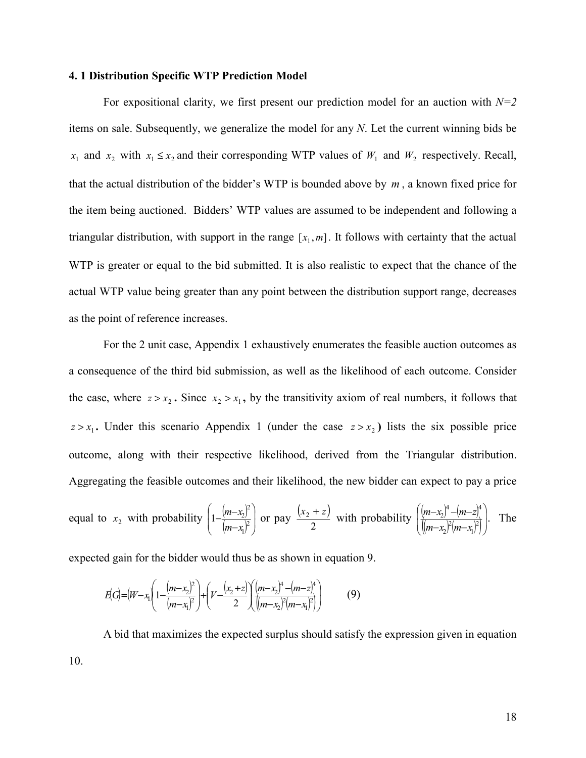## **4. 1 Distribution Specific WTP Prediction Model**

For expositional clarity, we first present our prediction model for an auction with *N=2* items on sale. Subsequently, we generalize the model for any *N*. Let the current winning bids be  $x_1$  and  $x_2$  with  $x_1 \le x_2$  and their corresponding WTP values of  $W_1$  and  $W_2$  respectively. Recall, that the actual distribution of the bidder's WTP is bounded above by *m* , a known fixed price for the item being auctioned. Bidders' WTP values are assumed to be independent and following a triangular distribution, with support in the range  $[x_1, m]$ . It follows with certainty that the actual WTP is greater or equal to the bid submitted. It is also realistic to expect that the chance of the actual WTP value being greater than any point between the distribution support range, decreases as the point of reference increases.

For the 2 unit case, Appendix 1 exhaustively enumerates the feasible auction outcomes as a consequence of the third bid submission, as well as the likelihood of each outcome. Consider the case, where  $z > x_2$ . Since  $x_2 > x_1$ , by the transitivity axiom of real numbers, it follows that  $z > x_1$ . Under this scenario Appendix 1 (under the case  $z > x_2$ ) lists the six possible price outcome, along with their respective likelihood, derived from the Triangular distribution. Aggregating the feasible outcomes and their likelihood, the new bidder can expect to pay a price

equal to  $x_2$  with probability  $\left(1-\frac{(m-x_2)^2}{(m-x_1)^2}\right)$  $\overline{\phantom{a}}$ J  $\backslash$  $\mathbf{I}$ I  $\setminus$ ſ  $-\frac{(m-x_2)^2}{(m-x_1)^2}$ 1 2  $1 - \frac{m - \lambda_2}{4}$  $m-x$  $\left(\frac{m-x_2}{n}\right)$  or pay  $\frac{(x_2+z)}{n}$ 2  $\frac{x_2 + z}{z_2}$  with probability  $\left(\frac{(m-x_2)^4 - (m-z)}{(m-x_2)^2}\right)$  $\left( (m-x_2)^2(m-x_1)^2 \right)$  $\overline{\phantom{a}}$ J  $\backslash$ l I  $\setminus$ ſ  $-x_2$ <sup> $\neq$ </sup> $(m -x_2$ <sup>+</sup> –  $(m-$ 2 1 2 2 4  $\int_{\cdots}^{\infty}$   $\frac{1}{4}$ 2  $(m-x_2)^2(m-x_1)$  $\frac{(m-x_2)^4-(m-z)^4}{(m-x_2)^2}$ . The

expected gain for the bidder would thus be as shown in equation 9.

$$
E(G) = (W - x_1) \left( 1 - \frac{(m - x_2)^2}{(m - x_1)^2} \right) + \left( V - \frac{(x_2 + z)}{2} \right) \left( \frac{(m - x_2)^4 - (m - z)^4}{(m - x_2)^2 (m - x_1)^2} \right) \tag{9}
$$

A bid that maximizes the expected surplus should satisfy the expression given in equation 10.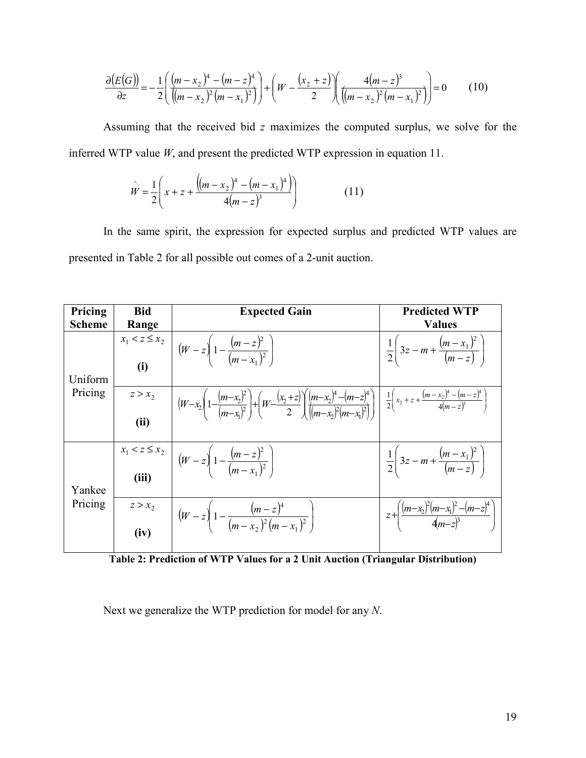$$
\frac{\partial (E(G))}{\partial z} = -\frac{1}{2} \left( \frac{(m-x_2)^4 - (m-z)^4}{((m-x_2)^2(m-x_1)^2)} \right) + \left( W - \frac{(x_2+z)}{2} \right) \left( \frac{4(m-z)^3}{((m-x_2)^2(m-x_1)^2)} \right) = 0 \tag{10}
$$

Assuming that the received bid *z* maximizes the computed surplus, we solve for the inferred WTP value *W*, and present the predicted WTP expression in equation 11.

$$
\hat{W} = \frac{1}{2} \left( x + z + \frac{\left( (m - x_2)^4 - (m - x_1)^4 \right)}{4(m - z)^3} \right) \tag{11}
$$

In the same spirit, the expression for expected surplus and predicted WTP values are presented in Table 2 for all possible out comes of a 2-unit auction.

| Pricing       | <b>Bid</b>                | <b>Expected Gain</b>                                                                                                                                                                                                       | <b>Predicted WTP</b>                                              |
|---------------|---------------------------|----------------------------------------------------------------------------------------------------------------------------------------------------------------------------------------------------------------------------|-------------------------------------------------------------------|
| <b>Scheme</b> | Range                     |                                                                                                                                                                                                                            | <b>Values</b>                                                     |
| Uniform       | $x_1 < z \leq x_2$<br>(i) | $\left[ (W-z) \left(1 - \frac{(m-z)^2}{(m-x_1)^2} \right) \right]$                                                                                                                                                         | $\frac{1}{2} \left( 3z - m + \frac{(m-x_1)^2}{(m-z)} \right)$     |
| Pricing       | $z > x_2$<br>(ii)         | $(W-x_2)\left(1-\frac{(m-x_2)^2}{(m-x_1)^2}\right)+\left(W-\frac{(x_2+z)}{2}\right)\left(\frac{(m-x_2)^4-(m-z)^4}{(m-x_1)^2(m-x_1)^2}\right)\left(\frac{1}{2}\left(x_2+z+\frac{(m-x_2)^4-(m-z)^4}{4(m-z)^3}\right)\right)$ |                                                                   |
| Yankee        | (iii)                     | $x_1 < z \le x_2$<br>$\therefore$ $\left  \left( W - z \right) \left( 1 - \frac{(m-z)^2}{(m-x_1)^2} \right) \right $                                                                                                       | $\frac{1}{2} \left[ 3z - m + \frac{(m - x_1)^2}{(m - z)} \right]$ |
| Pricing       | $z > x_2$<br>(iv)         | $\left( (W-z) \left(1 - \frac{(m-z)^{2}}{(m-x_{2})^{2}(m-x_{1})^{2}} \right) \right)$                                                                                                                                      | $z+\left(\frac{(m-x_2)^2(m-x_1)^2-(m-z)^4}{4(m-z)^3}\right)$      |

**Table 2: Prediction of WTP Values for a 2 Unit Auction (Triangular Distribution)** 

Next we generalize the WTP prediction for model for any *N*.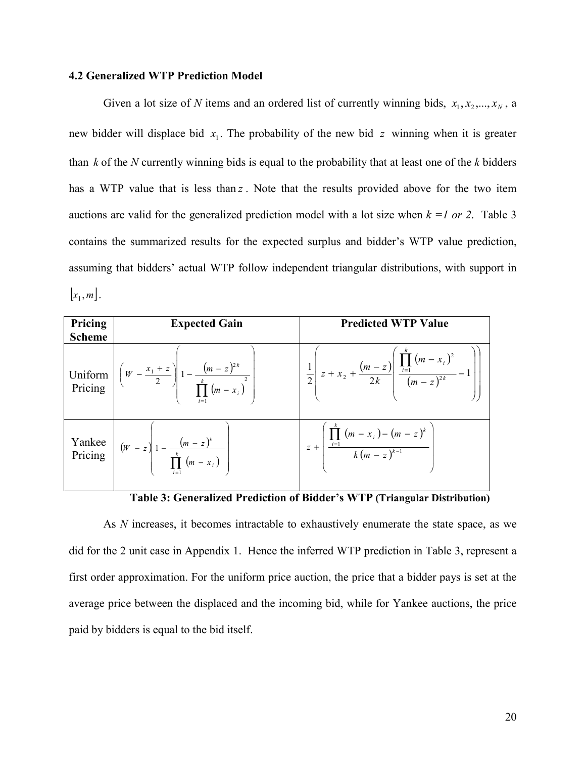#### **4.2 Generalized WTP Prediction Model**

Given a lot size of *N* items and an ordered list of currently winning bids,  $x_1, x_2, ..., x_N$ , a new bidder will displace bid  $x_1$ . The probability of the new bid  $z$  winning when it is greater than *k* of the *N* currently winning bids is equal to the probability that at least one of the *k* bidders has a WTP value that is less than *z* . Note that the results provided above for the two item auctions are valid for the generalized prediction model with a lot size when  $k = 1$  or 2. Table 3 contains the summarized results for the expected surplus and bidder's WTP value prediction, assuming that bidders' actual WTP follow independent triangular distributions, with support in  $|x_1, m|$ .

| Pricing<br><b>Scheme</b> | <b>Expected Gain</b>                                                                                              | <b>Predicted WTP Value</b>                                                                                 |
|--------------------------|-------------------------------------------------------------------------------------------------------------------|------------------------------------------------------------------------------------------------------------|
|                          | Uniform $\left[\left(W - \frac{x_1 + z}{2}\right)\right]1 - \frac{(m-z)^{2k}}{\prod_{i=1}^{k}(m-x_i)^2}$          | $\frac{1}{2}\left(z+x_2+\frac{(m-z)}{2k}\left(\frac{\prod_{i=1}^{k}(m-x_i)^2}{(m-z)^{2k}}-1\right)\right)$ |
|                          | Yankee<br>Pricing $\left  \begin{array}{c} (w-z) \\ 1-\frac{(m-z)^k}{\prod_{i=1}^{k}(m-x_i)} \end{array} \right $ | $z + \frac{\prod_{i=1}^{n} (m - x_i) - (m - z)^k}{k (m - z)^{k-1}}$                                        |

**Table 3: Generalized Prediction of Bidder's WTP (Triangular Distribution)**

As *N* increases, it becomes intractable to exhaustively enumerate the state space, as we did for the 2 unit case in Appendix 1. Hence the inferred WTP prediction in Table 3, represent a first order approximation. For the uniform price auction, the price that a bidder pays is set at the average price between the displaced and the incoming bid, while for Yankee auctions, the price paid by bidders is equal to the bid itself.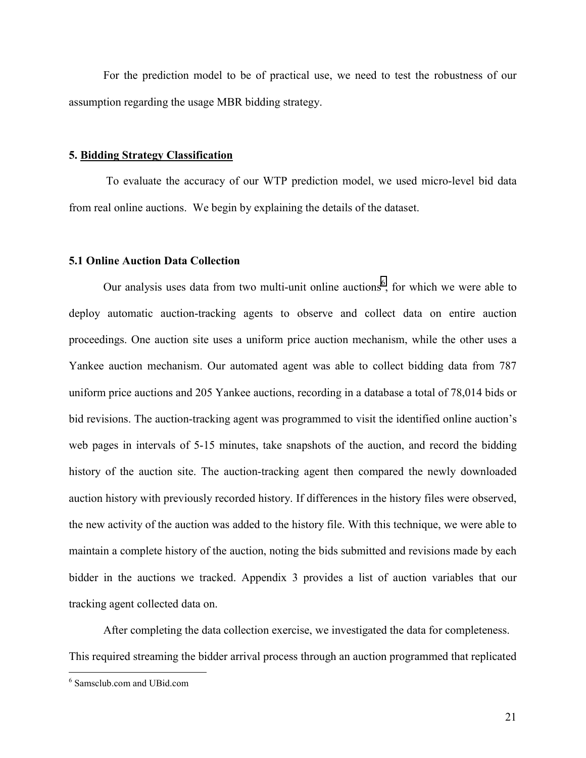For the prediction model to be of practical use, we need to test the robustness of our assumption regarding the usage MBR bidding strategy.

#### **5. Bidding Strategy Classification**

 To evaluate the accuracy of our WTP prediction model, we used micro-level bid data from real online auctions. We begin by explaining the details of the dataset.

#### **5.1 Online Auction Data Collection**

Our analysis uses data from two multi-unit online auctions<sup>6</sup>, for which we were able to deploy automatic auction-tracking agents to observe and collect data on entire auction proceedings. One auction site uses a uniform price auction mechanism, while the other uses a Yankee auction mechanism. Our automated agent was able to collect bidding data from 787 uniform price auctions and 205 Yankee auctions, recording in a database a total of 78,014 bids or bid revisions. The auction-tracking agent was programmed to visit the identified online auction's web pages in intervals of 5-15 minutes, take snapshots of the auction, and record the bidding history of the auction site. The auction-tracking agent then compared the newly downloaded auction history with previously recorded history. If differences in the history files were observed, the new activity of the auction was added to the history file. With this technique, we were able to maintain a complete history of the auction, noting the bids submitted and revisions made by each bidder in the auctions we tracked. Appendix 3 provides a list of auction variables that our tracking agent collected data on.

 After completing the data collection exercise, we investigated the data for completeness. This required streaming the bidder arrival process through an auction programmed that replicated

1

<sup>6</sup> Samsclub.com and UBid.com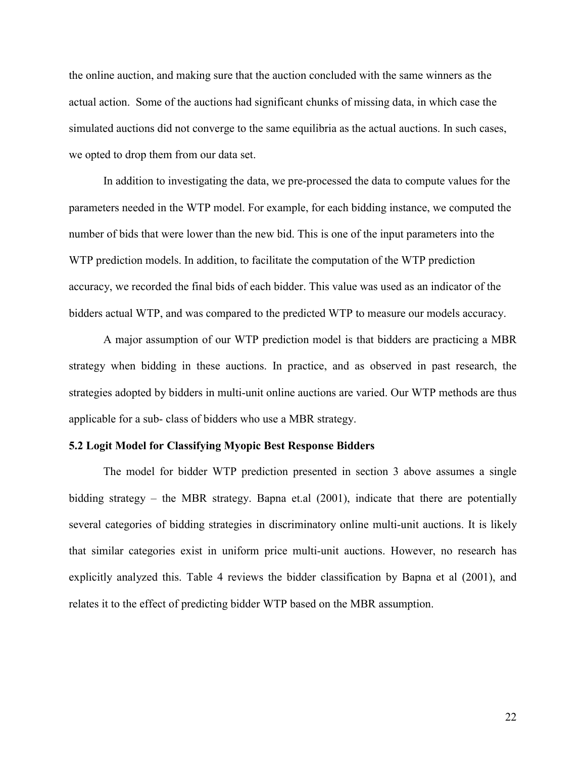the online auction, and making sure that the auction concluded with the same winners as the actual action. Some of the auctions had significant chunks of missing data, in which case the simulated auctions did not converge to the same equilibria as the actual auctions. In such cases, we opted to drop them from our data set.

 In addition to investigating the data, we pre-processed the data to compute values for the parameters needed in the WTP model. For example, for each bidding instance, we computed the number of bids that were lower than the new bid. This is one of the input parameters into the WTP prediction models. In addition, to facilitate the computation of the WTP prediction accuracy, we recorded the final bids of each bidder. This value was used as an indicator of the bidders actual WTP, and was compared to the predicted WTP to measure our models accuracy.

 A major assumption of our WTP prediction model is that bidders are practicing a MBR strategy when bidding in these auctions. In practice, and as observed in past research, the strategies adopted by bidders in multi-unit online auctions are varied. Our WTP methods are thus applicable for a sub- class of bidders who use a MBR strategy.

#### **5.2 Logit Model for Classifying Myopic Best Response Bidders**

The model for bidder WTP prediction presented in section 3 above assumes a single bidding strategy – the MBR strategy. Bapna et.al (2001), indicate that there are potentially several categories of bidding strategies in discriminatory online multi-unit auctions. It is likely that similar categories exist in uniform price multi-unit auctions. However, no research has explicitly analyzed this. Table 4 reviews the bidder classification by Bapna et al (2001), and relates it to the effect of predicting bidder WTP based on the MBR assumption.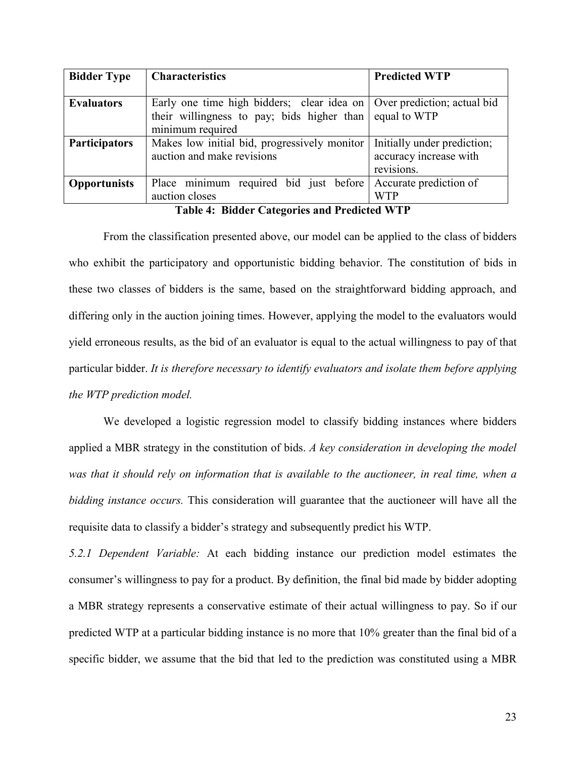| <b>Bidder Type</b>   | <b>Characteristics</b>                                                   | <b>Predicted WTP</b>        |
|----------------------|--------------------------------------------------------------------------|-----------------------------|
|                      |                                                                          |                             |
| <b>Evaluators</b>    | Early one time high bidders; clear idea on   Over prediction; actual bid |                             |
|                      | their willingness to pay; bids higher than $\vert$ equal to WTP          |                             |
|                      | minimum required                                                         |                             |
| <b>Participators</b> | Makes low initial bid, progressively monitor                             | Initially under prediction; |
|                      | auction and make revisions                                               | accuracy increase with      |
|                      |                                                                          | revisions.                  |
| <b>Opportunists</b>  | Place minimum required bid just before                                   | Accurate prediction of      |
|                      | auction closes                                                           | <b>WTP</b>                  |

**Table 4: Bidder Categories and Predicted WTP** 

From the classification presented above, our model can be applied to the class of bidders who exhibit the participatory and opportunistic bidding behavior. The constitution of bids in these two classes of bidders is the same, based on the straightforward bidding approach, and differing only in the auction joining times. However, applying the model to the evaluators would yield erroneous results, as the bid of an evaluator is equal to the actual willingness to pay of that particular bidder. *It is therefore necessary to identify evaluators and isolate them before applying the WTP prediction model.* 

We developed a logistic regression model to classify bidding instances where bidders applied a MBR strategy in the constitution of bids. *A key consideration in developing the model was that it should rely on information that is available to the auctioneer, in real time, when a bidding instance occurs.* This consideration will guarantee that the auctioneer will have all the requisite data to classify a bidder's strategy and subsequently predict his WTP.

*5.2.1 Dependent Variable:* At each bidding instance our prediction model estimates the consumer's willingness to pay for a product. By definition, the final bid made by bidder adopting a MBR strategy represents a conservative estimate of their actual willingness to pay. So if our predicted WTP at a particular bidding instance is no more that 10% greater than the final bid of a specific bidder, we assume that the bid that led to the prediction was constituted using a MBR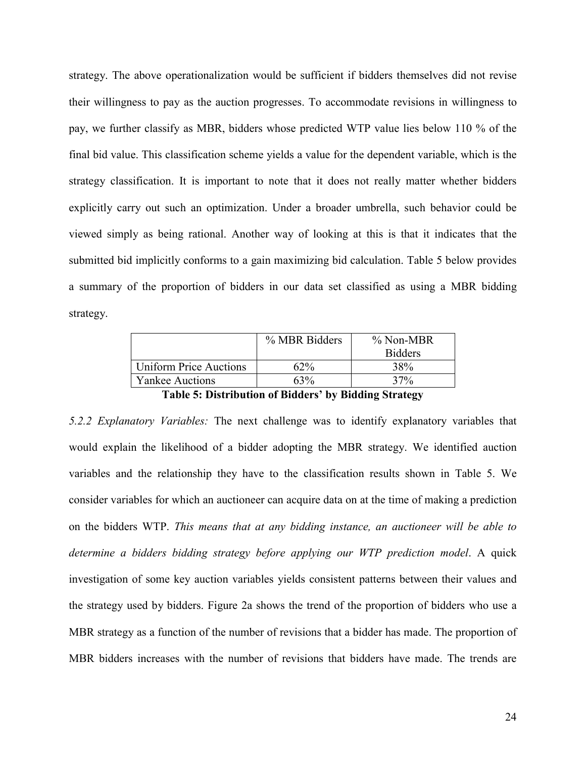strategy. The above operationalization would be sufficient if bidders themselves did not revise their willingness to pay as the auction progresses. To accommodate revisions in willingness to pay, we further classify as MBR, bidders whose predicted WTP value lies below 110 % of the final bid value. This classification scheme yields a value for the dependent variable, which is the strategy classification. It is important to note that it does not really matter whether bidders explicitly carry out such an optimization. Under a broader umbrella, such behavior could be viewed simply as being rational. Another way of looking at this is that it indicates that the submitted bid implicitly conforms to a gain maximizing bid calculation. Table 5 below provides a summary of the proportion of bidders in our data set classified as using a MBR bidding strategy.

|                                               | % MBR Bidders | $\%$ Non-MBR   |  |  |
|-----------------------------------------------|---------------|----------------|--|--|
|                                               |               | <b>Bidders</b> |  |  |
| <b>Uniform Price Auctions</b>                 | $62\%$        | 38%            |  |  |
| <b>Yankee Auctions</b>                        | 63%           | 37%            |  |  |
| — 11 - <b>1</b><br>----<br>$\sim$ $\sim$<br>. |               |                |  |  |

**Table 5: Distribution of Bidders' by Bidding Strategy** 

*5.2.2 Explanatory Variables:* The next challenge was to identify explanatory variables that would explain the likelihood of a bidder adopting the MBR strategy. We identified auction variables and the relationship they have to the classification results shown in Table 5. We consider variables for which an auctioneer can acquire data on at the time of making a prediction on the bidders WTP. *This means that at any bidding instance, an auctioneer will be able to determine a bidders bidding strategy before applying our WTP prediction model*. A quick investigation of some key auction variables yields consistent patterns between their values and the strategy used by bidders. Figure 2a shows the trend of the proportion of bidders who use a MBR strategy as a function of the number of revisions that a bidder has made. The proportion of MBR bidders increases with the number of revisions that bidders have made. The trends are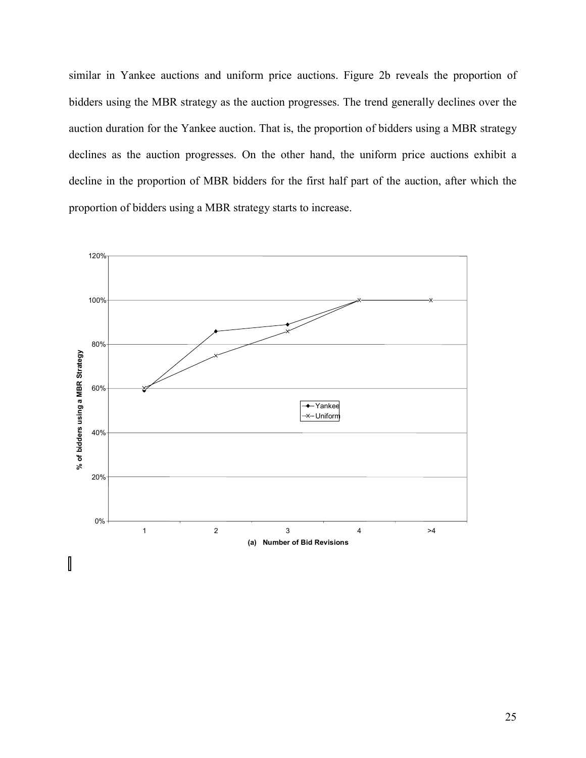similar in Yankee auctions and uniform price auctions. Figure 2b reveals the proportion of bidders using the MBR strategy as the auction progresses. The trend generally declines over the auction duration for the Yankee auction. That is, the proportion of bidders using a MBR strategy declines as the auction progresses. On the other hand, the uniform price auctions exhibit a decline in the proportion of MBR bidders for the first half part of the auction, after which the proportion of bidders using a MBR strategy starts to increase.

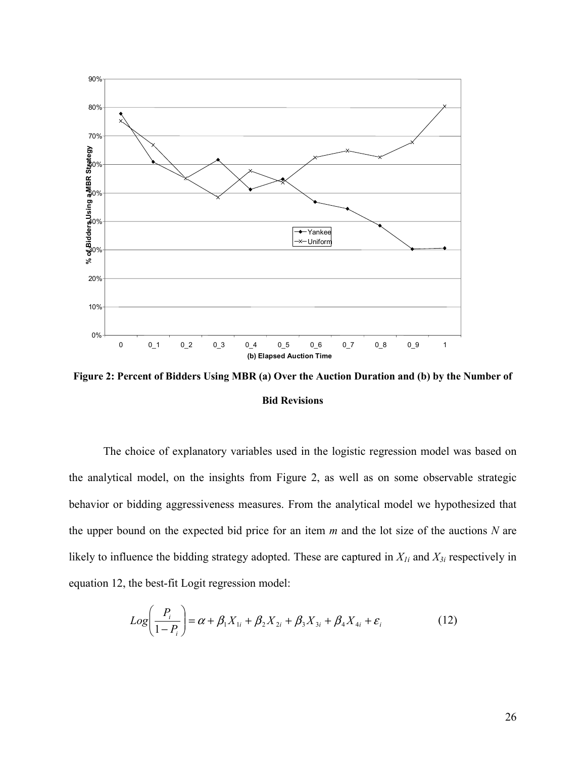

**Figure 2: Percent of Bidders Using MBR (a) Over the Auction Duration and (b) by the Number of Bid Revisions** 

 The choice of explanatory variables used in the logistic regression model was based on the analytical model, on the insights from Figure 2, as well as on some observable strategic behavior or bidding aggressiveness measures. From the analytical model we hypothesized that the upper bound on the expected bid price for an item *m* and the lot size of the auctions *N* are likely to influence the bidding strategy adopted. These are captured in *X1i* and *X3i* respectively in equation 12, the best-fit Logit regression model:

$$
Log\left(\frac{P_i}{1-P_i}\right) = \alpha + \beta_1 X_{1i} + \beta_2 X_{2i} + \beta_3 X_{3i} + \beta_4 X_{4i} + \varepsilon_i
$$
 (12)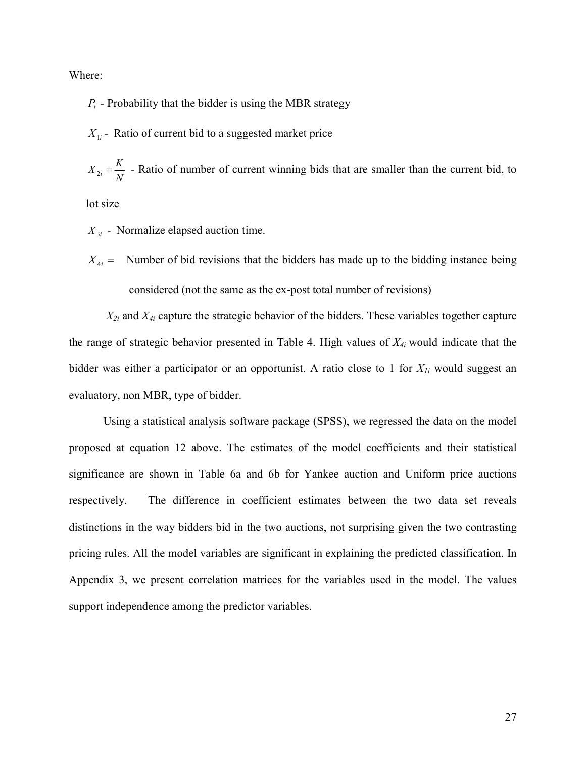Where:

 $P_i$  - Probability that the bidder is using the MBR strategy

 $X_{1i}$  - Ratio of current bid to a suggested market price

 $X_{2i} = \frac{K}{N}$  - Ratio of number of current winning bids that are smaller than the current bid, to

lot size

 $X_{3i}$  - Normalize elapsed auction time.

 $X_{4i}$  = Number of bid revisions that the bidders has made up to the bidding instance being considered (not the same as the ex-post total number of revisions)

 *X2i* and *X4i* capture the strategic behavior of the bidders. These variables together capture the range of strategic behavior presented in Table 4. High values of *X4i* would indicate that the bidder was either a participator or an opportunist. A ratio close to 1 for *X1i* would suggest an evaluatory, non MBR, type of bidder.

Using a statistical analysis software package (SPSS), we regressed the data on the model proposed at equation 12 above. The estimates of the model coefficients and their statistical significance are shown in Table 6a and 6b for Yankee auction and Uniform price auctions respectively. The difference in coefficient estimates between the two data set reveals distinctions in the way bidders bid in the two auctions, not surprising given the two contrasting pricing rules. All the model variables are significant in explaining the predicted classification. In Appendix 3, we present correlation matrices for the variables used in the model. The values support independence among the predictor variables.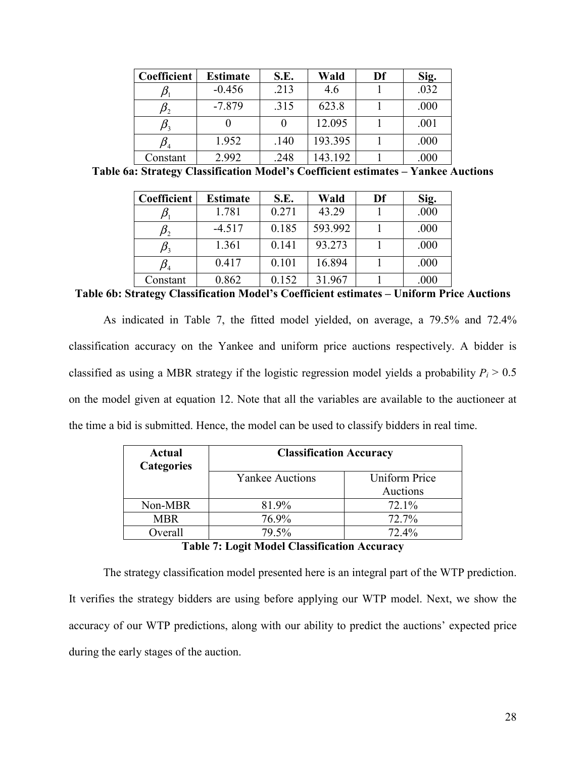| Coefficient | <b>Estimate</b> | S.E. | Wald    | Df | Sig. |
|-------------|-----------------|------|---------|----|------|
|             | $-0.456$        | .213 | 4.6     |    | .032 |
|             | $-7.879$        | .315 | 623.8   |    | .000 |
|             |                 |      | 12.095  |    | .001 |
|             | 1.952           | .140 | 193.395 |    | .000 |
| Constant    | 2.992           | .248 | 143.192 |    | .000 |

**Table 6a: Strategy Classification Model's Coefficient estimates – Yankee Auctions** 

| Coefficient                   | <b>Estimate</b> | S.E.  | Wald    | Df | Sig. |
|-------------------------------|-----------------|-------|---------|----|------|
|                               | 1.781           | 0.271 | 43.29   |    | .000 |
|                               | $-4.517$        | 0.185 | 593.992 |    | .000 |
| $\bm{\mu}_{\bm{\mathcal{X}}}$ | 1.361           | 0.141 | 93.273  |    | .000 |
|                               | 0.417           | 0.101 | 16.894  |    | .000 |
| Constant                      | 0.862           | 0.152 | 31.967  |    | .000 |

**Table 6b: Strategy Classification Model's Coefficient estimates – Uniform Price Auctions** 

As indicated in Table 7, the fitted model yielded, on average, a 79.5% and 72.4% classification accuracy on the Yankee and uniform price auctions respectively. A bidder is classified as using a MBR strategy if the logistic regression model yields a probability  $P_i > 0.5$ on the model given at equation 12. Note that all the variables are available to the auctioneer at the time a bid is submitted. Hence, the model can be used to classify bidders in real time.

| <b>Actual</b><br><b>Categories</b> | <b>Classification Accuracy</b> |                      |  |  |  |
|------------------------------------|--------------------------------|----------------------|--|--|--|
|                                    | <b>Yankee Auctions</b>         | <b>Uniform Price</b> |  |  |  |
|                                    |                                | Auctions             |  |  |  |
| Non-MBR                            | 81.9%                          | 72.1%                |  |  |  |
| <b>MBR</b>                         | 76.9%                          | 72.7%                |  |  |  |
| Overall                            | 79.5%                          | $72.4\%$             |  |  |  |

### **Table 7: Logit Model Classification Accuracy**

The strategy classification model presented here is an integral part of the WTP prediction. It verifies the strategy bidders are using before applying our WTP model. Next, we show the accuracy of our WTP predictions, along with our ability to predict the auctions' expected price during the early stages of the auction.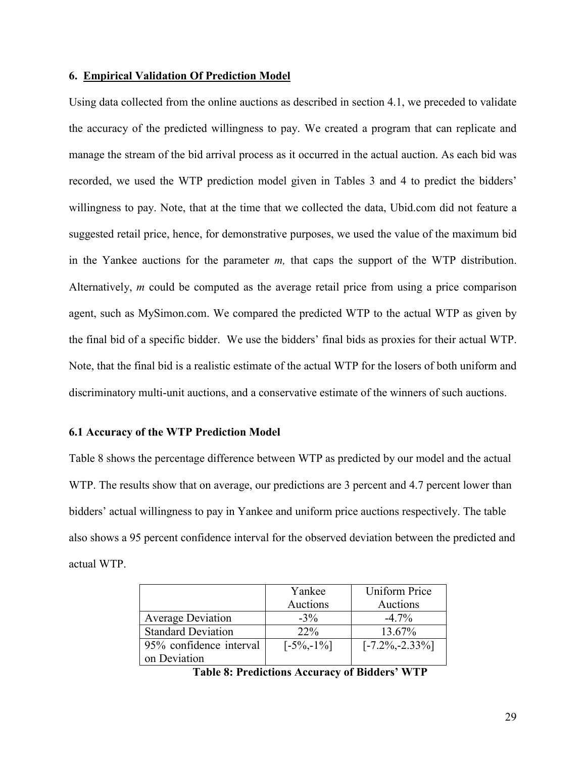## **6. Empirical Validation Of Prediction Model**

Using data collected from the online auctions as described in section 4.1, we preceded to validate the accuracy of the predicted willingness to pay. We created a program that can replicate and manage the stream of the bid arrival process as it occurred in the actual auction. As each bid was recorded, we used the WTP prediction model given in Tables 3 and 4 to predict the bidders' willingness to pay. Note, that at the time that we collected the data, Ubid.com did not feature a suggested retail price, hence, for demonstrative purposes, we used the value of the maximum bid in the Yankee auctions for the parameter *m,* that caps the support of the WTP distribution. Alternatively, *m* could be computed as the average retail price from using a price comparison agent, such as MySimon.com. We compared the predicted WTP to the actual WTP as given by the final bid of a specific bidder. We use the bidders' final bids as proxies for their actual WTP. Note, that the final bid is a realistic estimate of the actual WTP for the losers of both uniform and discriminatory multi-unit auctions, and a conservative estimate of the winners of such auctions.

## **6.1 Accuracy of the WTP Prediction Model**

Table 8 shows the percentage difference between WTP as predicted by our model and the actual WTP. The results show that on average, our predictions are 3 percent and 4.7 percent lower than bidders' actual willingness to pay in Yankee and uniform price auctions respectively. The table also shows a 95 percent confidence interval for the observed deviation between the predicted and actual WTP.

|                           | Yankee         | <b>Uniform Price</b> |
|---------------------------|----------------|----------------------|
|                           | Auctions       | Auctions             |
| <b>Average Deviation</b>  | $-3\%$         | $-4.7\%$             |
| <b>Standard Deviation</b> | $22\%$         | 13.67%               |
| 95% confidence interval   | $[-5\%, -1\%]$ | $[-7.2\%, -2.33\%]$  |
| on Deviation              |                |                      |

**Table 8: Predictions Accuracy of Bidders' WTP**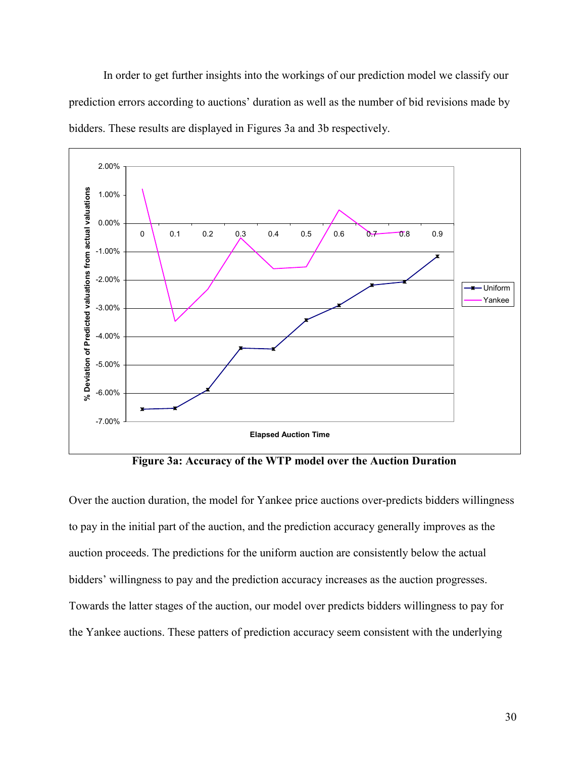In order to get further insights into the workings of our prediction model we classify our prediction errors according to auctions' duration as well as the number of bid revisions made by bidders. These results are displayed in Figures 3a and 3b respectively.



 **Figure 3a: Accuracy of the WTP model over the Auction Duration** 

Over the auction duration, the model for Yankee price auctions over-predicts bidders willingness to pay in the initial part of the auction, and the prediction accuracy generally improves as the auction proceeds. The predictions for the uniform auction are consistently below the actual bidders' willingness to pay and the prediction accuracy increases as the auction progresses. Towards the latter stages of the auction, our model over predicts bidders willingness to pay for the Yankee auctions. These patters of prediction accuracy seem consistent with the underlying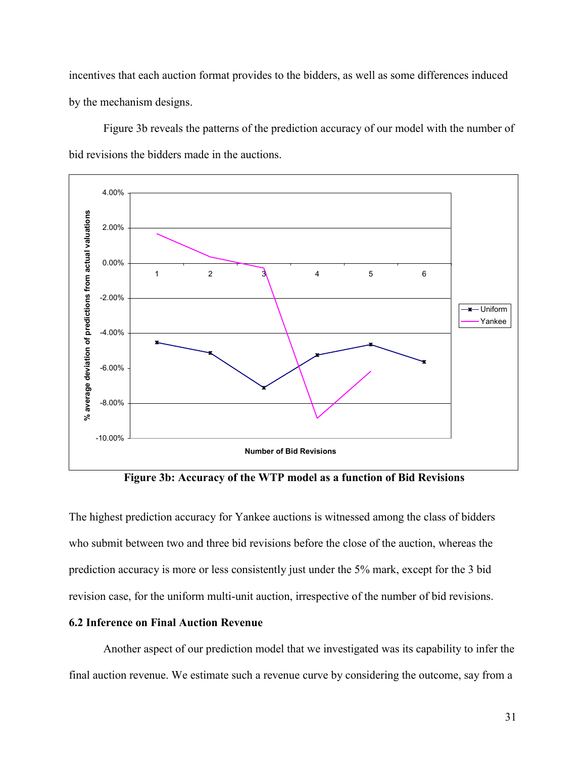incentives that each auction format provides to the bidders, as well as some differences induced by the mechanism designs.

 Figure 3b reveals the patterns of the prediction accuracy of our model with the number of bid revisions the bidders made in the auctions.



 **Figure 3b: Accuracy of the WTP model as a function of Bid Revisions**

The highest prediction accuracy for Yankee auctions is witnessed among the class of bidders who submit between two and three bid revisions before the close of the auction, whereas the prediction accuracy is more or less consistently just under the 5% mark, except for the 3 bid revision case, for the uniform multi-unit auction, irrespective of the number of bid revisions.

# **6.2 Inference on Final Auction Revenue**

 Another aspect of our prediction model that we investigated was its capability to infer the final auction revenue. We estimate such a revenue curve by considering the outcome, say from a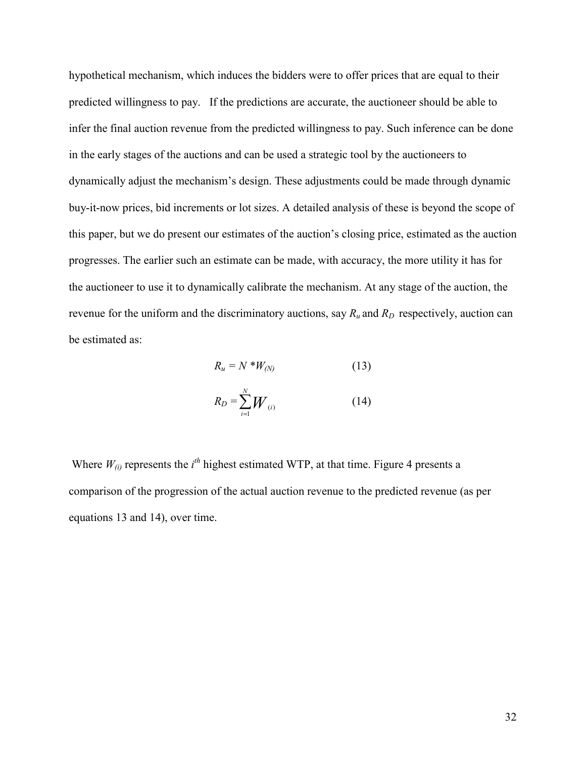hypothetical mechanism, which induces the bidders were to offer prices that are equal to their predicted willingness to pay. If the predictions are accurate, the auctioneer should be able to infer the final auction revenue from the predicted willingness to pay. Such inference can be done in the early stages of the auctions and can be used a strategic tool by the auctioneers to dynamically adjust the mechanism's design. These adjustments could be made through dynamic buy-it-now prices, bid increments or lot sizes. A detailed analysis of these is beyond the scope of this paper, but we do present our estimates of the auction's closing price, estimated as the auction progresses. The earlier such an estimate can be made, with accuracy, the more utility it has for the auctioneer to use it to dynamically calibrate the mechanism. At any stage of the auction, the revenue for the uniform and the discriminatory auctions, say  $R_u$  and  $R_p$  respectively, auction can be estimated as:

$$
R_u = N \cdot W_{(N)} \tag{13}
$$

$$
R_D = \sum_{i=1}^{N} W_{(i)}
$$
 (14)

Where  $W_{(i)}$  represents the  $i<sup>th</sup>$  highest estimated WTP, at that time. Figure 4 presents a comparison of the progression of the actual auction revenue to the predicted revenue (as per equations 13 and 14), over time.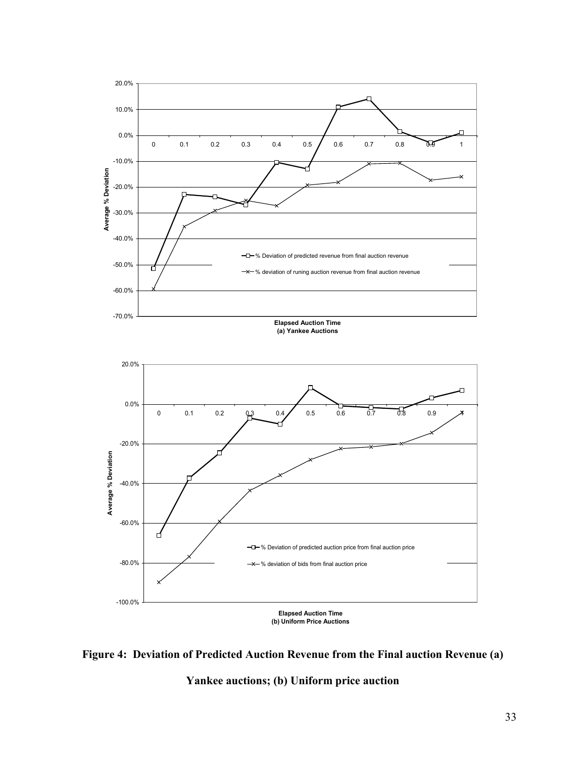



**Yankee auctions; (b) Uniform price auction**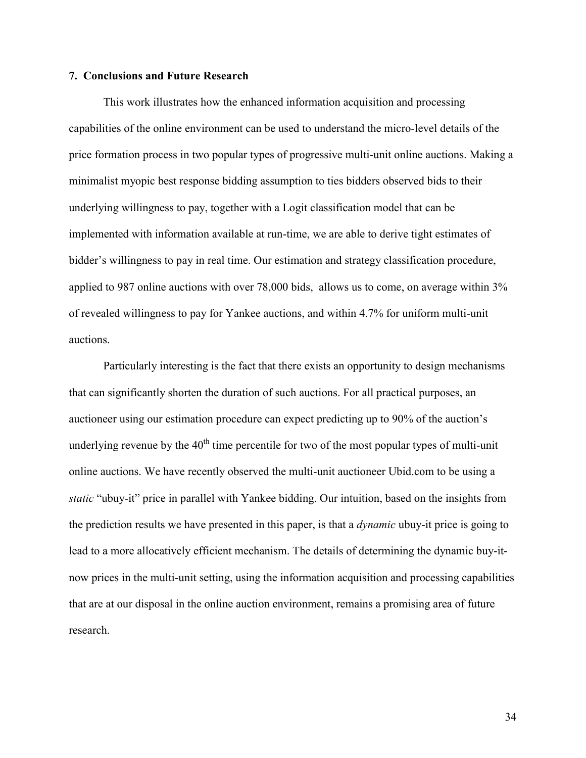#### **7. Conclusions and Future Research**

 This work illustrates how the enhanced information acquisition and processing capabilities of the online environment can be used to understand the micro-level details of the price formation process in two popular types of progressive multi-unit online auctions. Making a minimalist myopic best response bidding assumption to ties bidders observed bids to their underlying willingness to pay, together with a Logit classification model that can be implemented with information available at run-time, we are able to derive tight estimates of bidder's willingness to pay in real time. Our estimation and strategy classification procedure, applied to 987 online auctions with over 78,000 bids, allows us to come, on average within 3% of revealed willingness to pay for Yankee auctions, and within 4.7% for uniform multi-unit auctions.

Particularly interesting is the fact that there exists an opportunity to design mechanisms that can significantly shorten the duration of such auctions. For all practical purposes, an auctioneer using our estimation procedure can expect predicting up to 90% of the auction's underlying revenue by the  $40<sup>th</sup>$  time percentile for two of the most popular types of multi-unit online auctions. We have recently observed the multi-unit auctioneer Ubid.com to be using a *static* "ubuy-it" price in parallel with Yankee bidding. Our intuition, based on the insights from the prediction results we have presented in this paper, is that a *dynamic* ubuy-it price is going to lead to a more allocatively efficient mechanism. The details of determining the dynamic buy-itnow prices in the multi-unit setting, using the information acquisition and processing capabilities that are at our disposal in the online auction environment, remains a promising area of future research.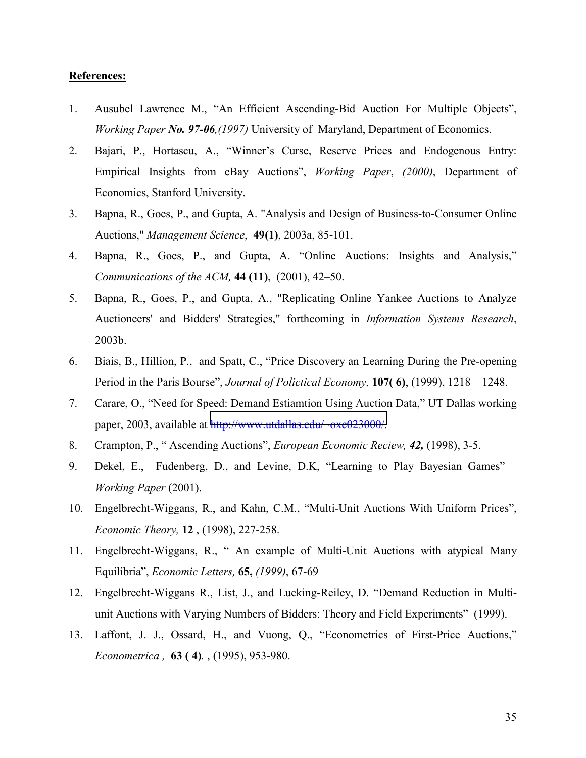## **References:**

- 1. Ausubel Lawrence M., "An Efficient Ascending-Bid Auction For Multiple Objects", *Working Paper No. 97-06,(1997)* University of Maryland, Department of Economics.
- 2. Bajari, P., Hortascu, A., "Winner's Curse, Reserve Prices and Endogenous Entry: Empirical Insights from eBay Auctions", *Working Paper*, *(2000)*, Department of Economics, Stanford University.
- 3. Bapna, R., Goes, P., and Gupta, A. "Analysis and Design of Business-to-Consumer Online Auctions," *Management Science*, **49(1)**, 2003a, 85-101.
- 4. Bapna, R., Goes, P., and Gupta, A. "Online Auctions: Insights and Analysis," *Communications of the ACM,* **44 (11)**, (2001), 42–50.
- 5. Bapna, R., Goes, P., and Gupta, A., "Replicating Online Yankee Auctions to Analyze Auctioneers' and Bidders' Strategies," forthcoming in *Information Systems Research*, 2003b.
- 6. Biais, B., Hillion, P., and Spatt, C., "Price Discovery an Learning During the Pre-opening Period in the Paris Bourse", *Journal of Polictical Economy,* **107( 6)**, (1999), 1218 – 1248.
- 7. Carare, O., "Need for Speed: Demand Estiamtion Using Auction Data," UT Dallas working paper, 2003, available at [http://www.utdallas.edu/~oxc023000/.](http://www.utdallas.edu/~oxc023000/)
- 8. Crampton, P., " Ascending Auctions", *European Economic Reciew, 42,* (1998), 3-5.
- 9. Dekel, E., Fudenberg, D., and Levine, D.K, "Learning to Play Bayesian Games" *Working Paper* (2001).
- 10. Engelbrecht-Wiggans, R., and Kahn, C.M., "Multi-Unit Auctions With Uniform Prices", *Economic Theory,* **12** , (1998), 227-258.
- 11. Engelbrecht-Wiggans, R., " An example of Multi-Unit Auctions with atypical Many Equilibria", *Economic Letters,* **65,** *(1999)*, 67-69
- 12. Engelbrecht-Wiggans R., List, J., and Lucking-Reiley, D. "Demand Reduction in Multiunit Auctions with Varying Numbers of Bidders: Theory and Field Experiments" (1999).
- 13. Laffont, J. J., Ossard, H., and Vuong, Q., "Econometrics of First-Price Auctions," *Econometrica ,* **63 ( 4)***.* , (1995), 953-980.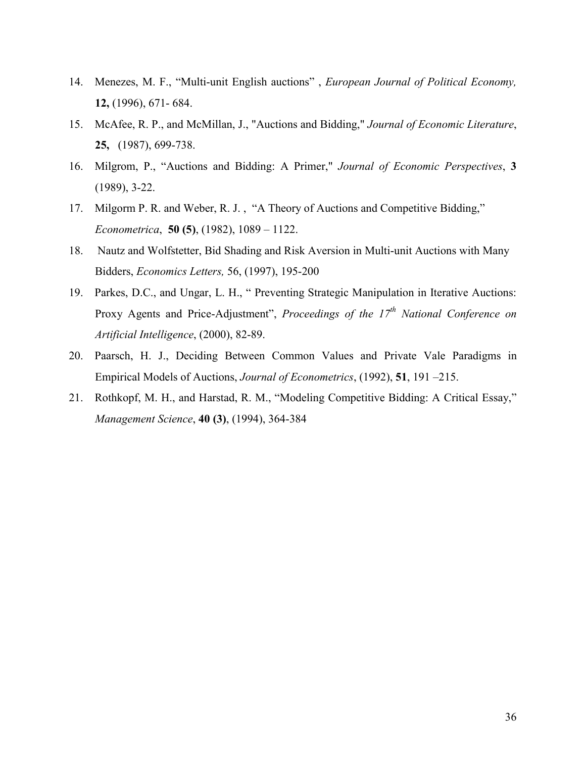- 14. Menezes, M. F., "Multi-unit English auctions" , *European Journal of Political Economy,*  **12,** (1996), 671- 684.
- 15. McAfee, R. P., and McMillan, J., "Auctions and Bidding," *Journal of Economic Literature*, **25,** (1987), 699-738.
- 16. Milgrom, P., "Auctions and Bidding: A Primer," *Journal of Economic Perspectives*, **3** (1989), 3-22.
- 17. Milgorm P. R. and Weber, R. J. , "A Theory of Auctions and Competitive Bidding," *Econometrica*, **50 (5)**, (1982), 1089 – 1122.
- 18. Nautz and Wolfstetter, Bid Shading and Risk Aversion in Multi-unit Auctions with Many Bidders, *Economics Letters,* 56, (1997), 195-200
- 19. Parkes, D.C., and Ungar, L. H., " Preventing Strategic Manipulation in Iterative Auctions: Proxy Agents and Price-Adjustment", *Proceedings of the 17<sup>th</sup> National Conference on Artificial Intelligence*, (2000), 82-89.
- 20. Paarsch, H. J., Deciding Between Common Values and Private Vale Paradigms in Empirical Models of Auctions, *Journal of Econometrics*, (1992), **51**, 191 –215.
- 21. Rothkopf, M. H., and Harstad, R. M., "Modeling Competitive Bidding: A Critical Essay," *Management Science*, **40 (3)**, (1994), 364-384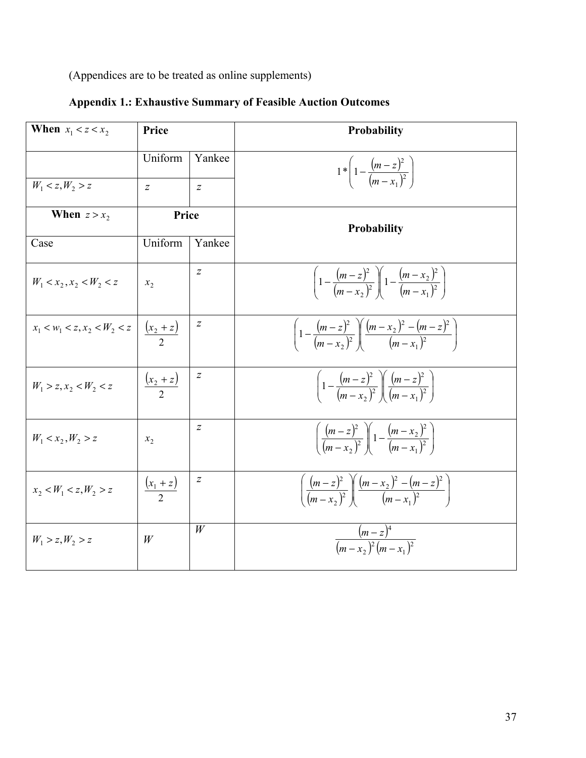(Appendices are to be treated as online supplements)

| When $x_1 < z < x_2$           | Price                 |                  | Probability                                                                                |
|--------------------------------|-----------------------|------------------|--------------------------------------------------------------------------------------------|
|                                | Uniform               | Yankee           | $1 * \left(1 - \frac{(m-z)^2}{(m-x_1)^2}\right)$                                           |
| $W_1 < z, W_2 > z$             | $\overline{z}$        | $\overline{z}$   |                                                                                            |
| When $z > x_2$                 | Price                 |                  | <b>Probability</b>                                                                         |
| Case                           | Uniform               | Yankee           |                                                                                            |
| $W_1 < x_2, x_2 < W_2 < z$     | $x_{2}$               | $\boldsymbol{Z}$ | $\left(1-\frac{(m-z)^2}{(m-x_2)^2}\right)\left(1-\frac{(m-x_2)^2}{(m-x_1)^2}\right)$       |
| $x_1 < w_1 < z, x_2 < W_2 < z$ | $\frac{(x_2 + z)}{2}$ | Ζ                | $\left(1-\frac{(m-z)^2}{(m-x_2)^2}\right)\left(\frac{(m-x_2)^2-(m-z)^2}{(m-x_1)^2}\right)$ |
| $W_1 > z, x_2 < W_2 < z$       | $\frac{(x_2+z)}{2}$   | $\overline{z}$   | $\left(1-\frac{(m-z)^2}{(m-x_0)^2}\right)\left(\frac{(m-z)^2}{(m-x_0)^2}\right)$           |
| $W_1 < x_2, W_2 > z$           | $x_{2}$               | $\boldsymbol{Z}$ | $\left(\frac{(m-z)^2}{(m-x_2)^2}\right)1-\frac{(m-x_2)^2}{(m-x_1)^2}$                      |
| $x_2 < W_1 < z, W_2 > z$       | $\frac{(x_1+z)}{2}$   | z                | $\left(\frac{(m-z)^2}{(m-x_2)^2}\right)\left(\frac{(m-x_2)^2-(m-z)^2}{(m-x_1)^2}\right)$   |
| $W_1 > z, W_2 > z$             | W                     | W                | $\frac{(m-z)^4}{(m-x_0)^2(m-x_0)^2}$                                                       |

# **Appendix 1.: Exhaustive Summary of Feasible Auction Outcomes**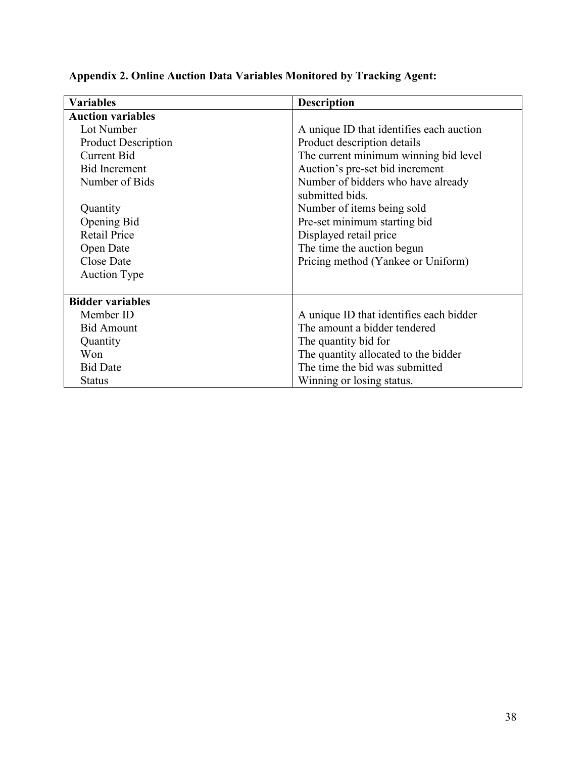| <b>Variables</b>           | <b>Description</b>                       |  |
|----------------------------|------------------------------------------|--|
| <b>Auction variables</b>   |                                          |  |
| Lot Number                 | A unique ID that identifies each auction |  |
| <b>Product Description</b> | Product description details              |  |
| <b>Current Bid</b>         | The current minimum winning bid level    |  |
| <b>Bid Increment</b>       | Auction's pre-set bid increment          |  |
| Number of Bids             | Number of bidders who have already       |  |
|                            | submitted bids.                          |  |
| Quantity                   | Number of items being sold               |  |
| Opening Bid                | Pre-set minimum starting bid             |  |
| <b>Retail Price</b>        | Displayed retail price                   |  |
| Open Date                  | The time the auction begun               |  |
| Close Date                 | Pricing method (Yankee or Uniform)       |  |
| <b>Auction Type</b>        |                                          |  |
|                            |                                          |  |
| <b>Bidder variables</b>    |                                          |  |
| Member ID                  | A unique ID that identifies each bidder  |  |
| <b>Bid Amount</b>          | The amount a bidder tendered             |  |
| Quantity                   | The quantity bid for                     |  |
| Won                        | The quantity allocated to the bidder     |  |
| <b>Bid Date</b>            | The time the bid was submitted           |  |
| <b>Status</b>              | Winning or losing status.                |  |

# **Appendix 2. Online Auction Data Variables Monitored by Tracking Agent:**